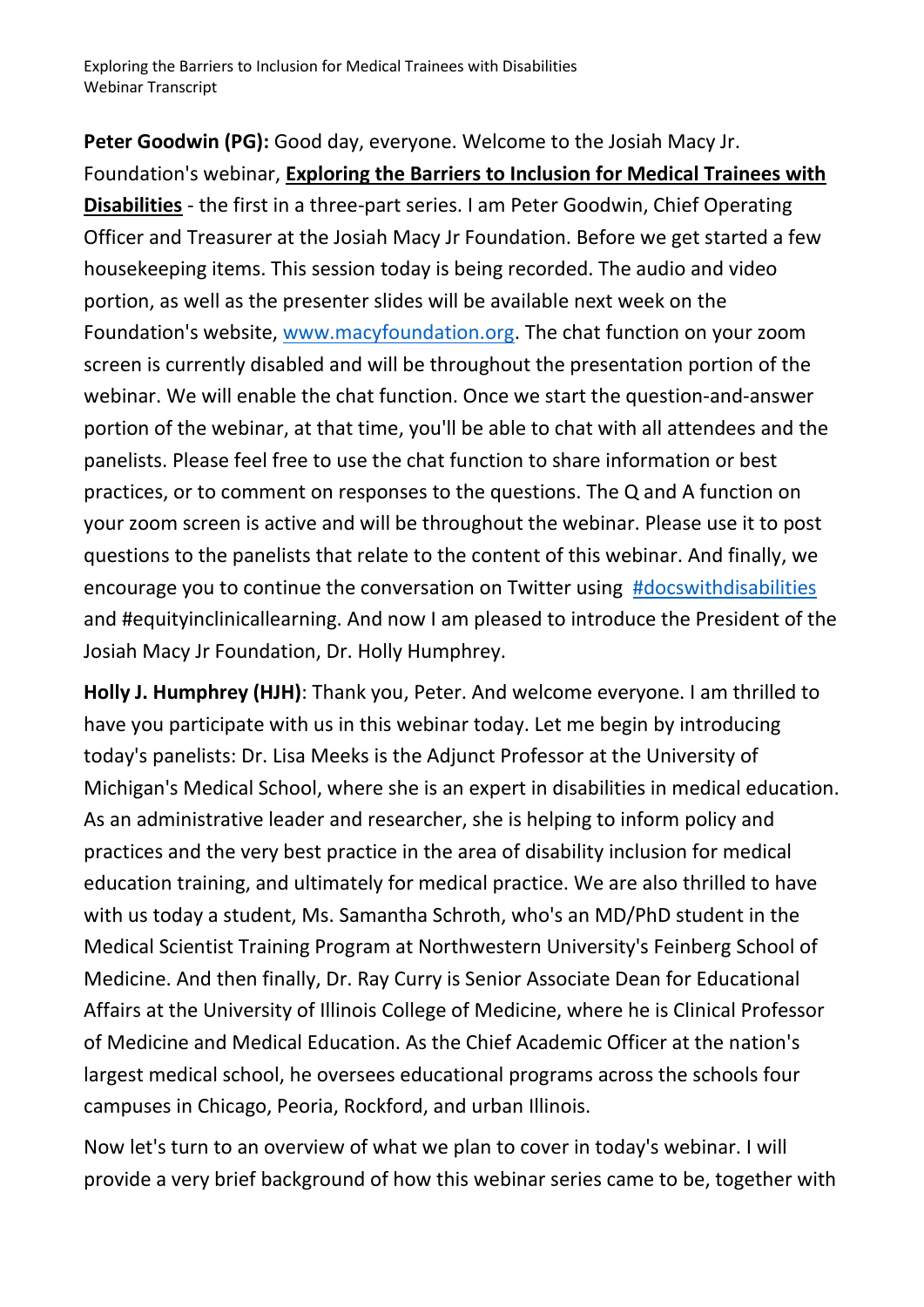**Peter Goodwin (PG):** Good day, everyone. Welcome to the Josiah Macy Jr. Foundation's webinar, **Exploring the Barriers to Inclusion for Medical Trainees with Disabilities** - the first in a three-part series. I am Peter Goodwin, Chief Operating Officer and Treasurer at the Josiah Macy Jr Foundation. Before we get started a few housekeeping items. This session today is being recorded. The audio and video portion, as well as the presenter slides will be available next week on the Foundation's website, [www.macyfoundation.org.](file:///C:/Users/DanaLevinson/AppData/Local/Microsoft/Windows/INetCache/Content.Outlook/4HMZPTGJ/www.macyfoundation.org) The chat function on your zoom screen is currently disabled and will be throughout the presentation portion of the webinar. We will enable the chat function. Once we start the question-and-answer portion of the webinar, at that time, you'll be able to chat with all attendees and the panelists. Please feel free to use the chat function to share information or best practices, or to comment on responses to the questions. The Q and A function on your zoom screen is active and will be throughout the webinar. Please use it to post questions to the panelists that relate to the content of this webinar. And finally, we encourage you to continue the conversation on Twitter using [#docswithdisabilities](https://twitter.com/DocsWith) and #equityinclinicallearning. And now I am pleased to introduce the President of the Josiah Macy Jr Foundation, Dr. Holly Humphrey.

**Holly J. Humphrey (HJH)**: Thank you, Peter. And welcome everyone. I am thrilled to have you participate with us in this webinar today. Let me begin by introducing today's panelists: Dr. Lisa Meeks is the Adjunct Professor at the University of Michigan's Medical School, where she is an expert in disabilities in medical education. As an administrative leader and researcher, she is helping to inform policy and practices and the very best practice in the area of disability inclusion for medical education training, and ultimately for medical practice. We are also thrilled to have with us today a student, Ms. Samantha Schroth, who's an MD/PhD student in the Medical Scientist Training Program at Northwestern University's Feinberg School of Medicine. And then finally, Dr. Ray Curry is Senior Associate Dean for Educational Affairs at the University of Illinois College of Medicine, where he is Clinical Professor of Medicine and Medical Education. As the Chief Academic Officer at the nation's largest medical school, he oversees educational programs across the schools four campuses in Chicago, Peoria, Rockford, and urban Illinois.

Now let's turn to an overview of what we plan to cover in today's webinar. I will provide a very brief background of how this webinar series came to be, together with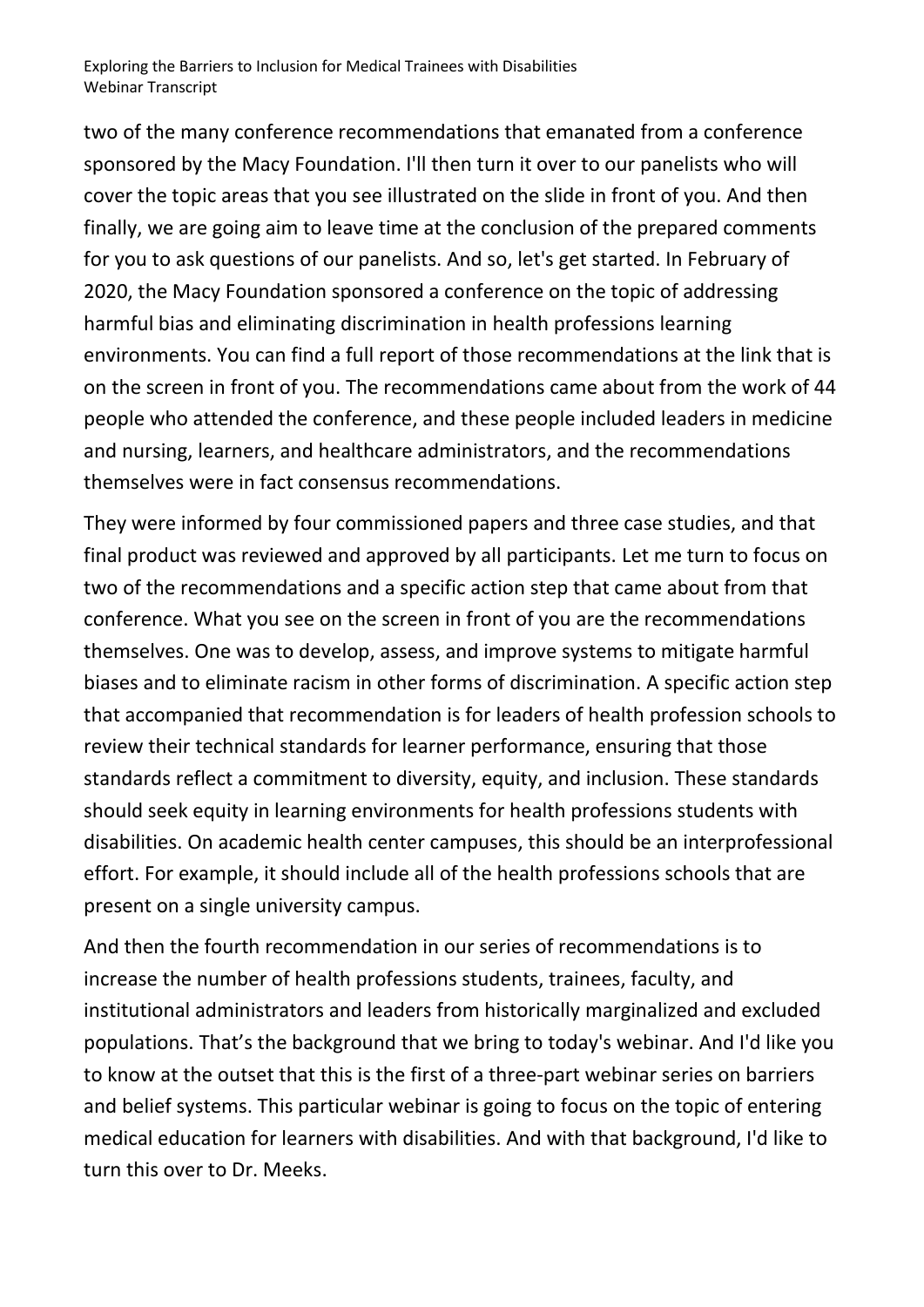two of the many conference recommendations that emanated from a conference sponsored by the Macy Foundation. I'll then turn it over to our panelists who will cover the topic areas that you see illustrated on the slide in front of you. And then finally, we are going aim to leave time at the conclusion of the prepared comments for you to ask questions of our panelists. And so, let's get started. In February of 2020, the Macy Foundation sponsored a conference on the topic of addressing harmful bias and eliminating discrimination in health professions learning environments. You can find a full report of those recommendations at the link that is on the screen in front of you. The recommendations came about from the work of 44 people who attended the conference, and these people included leaders in medicine and nursing, learners, and healthcare administrators, and the recommendations themselves were in fact consensus recommendations.

They were informed by four commissioned papers and three case studies, and that final product was reviewed and approved by all participants. Let me turn to focus on two of the recommendations and a specific action step that came about from that conference. What you see on the screen in front of you are the recommendations themselves. One was to develop, assess, and improve systems to mitigate harmful biases and to eliminate racism in other forms of discrimination. A specific action step that accompanied that recommendation is for leaders of health profession schools to review their technical standards for learner performance, ensuring that those standards reflect a commitment to diversity, equity, and inclusion. These standards should seek equity in learning environments for health professions students with disabilities. On academic health center campuses, this should be an interprofessional effort. For example, it should include all of the health professions schools that are present on a single university campus.

And then the fourth recommendation in our series of recommendations is to increase the number of health professions students, trainees, faculty, and institutional administrators and leaders from historically marginalized and excluded populations. That's the background that we bring to today's webinar. And I'd like you to know at the outset that this is the first of a three-part webinar series on barriers and belief systems. This particular webinar is going to focus on the topic of entering medical education for learners with disabilities. And with that background, I'd like to turn this over to Dr. Meeks.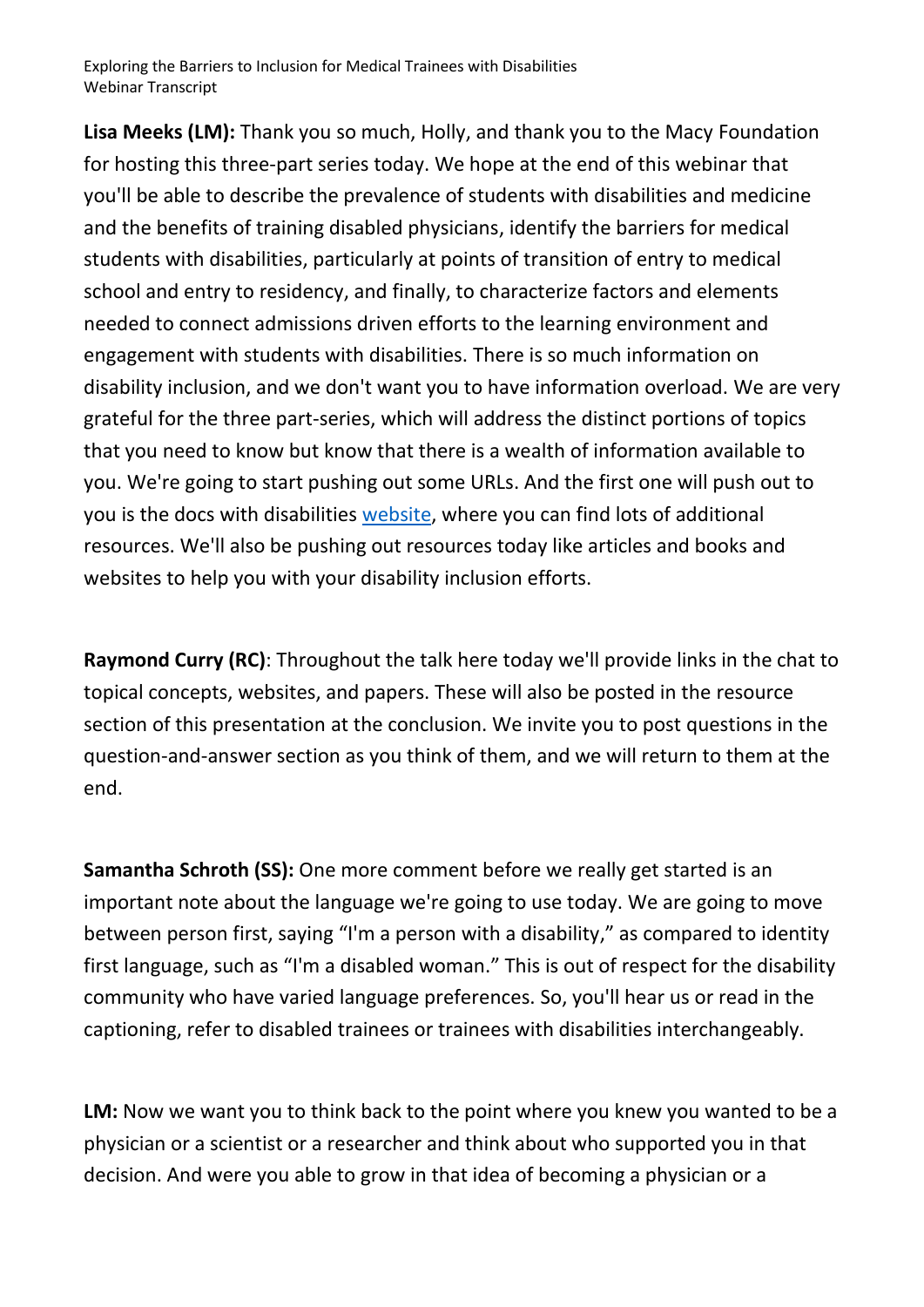**Lisa Meeks (LM):** Thank you so much, Holly, and thank you to the Macy Foundation for hosting this three-part series today. We hope at the end of this webinar that you'll be able to describe the prevalence of students with disabilities and medicine and the benefits of training disabled physicians, identify the barriers for medical students with disabilities, particularly at points of transition of entry to medical school and entry to residency, and finally, to characterize factors and elements needed to connect admissions driven efforts to the learning environment and engagement with students with disabilities. There is so much information on disability inclusion, and we don't want you to have information overload. We are very grateful for the three part-series, which will address the distinct portions of topics that you need to know but know that there is a wealth of information available to you. We're going to start pushing out some URLs. And the first one will push out to you is the docs with disabilities [website,](https://www.docswithdisabilities.org/) where you can find lots of additional resources. We'll also be pushing out resources today like articles and books and websites to help you with your disability inclusion efforts.

**Raymond Curry (RC)**: Throughout the talk here today we'll provide links in the chat to topical concepts, websites, and papers. These will also be posted in the resource section of this presentation at the conclusion. We invite you to post questions in the question-and-answer section as you think of them, and we will return to them at the end.

**Samantha Schroth (SS):** One more comment before we really get started is an important note about the language we're going to use today. We are going to move between person first, saying "I'm a person with a disability," as compared to identity first language, such as "I'm a disabled woman." This is out of respect for the disability community who have varied language preferences. So, you'll hear us or read in the captioning, refer to disabled trainees or trainees with disabilities interchangeably.

LM: Now we want you to think back to the point where you knew you wanted to be a physician or a scientist or a researcher and think about who supported you in that decision. And were you able to grow in that idea of becoming a physician or a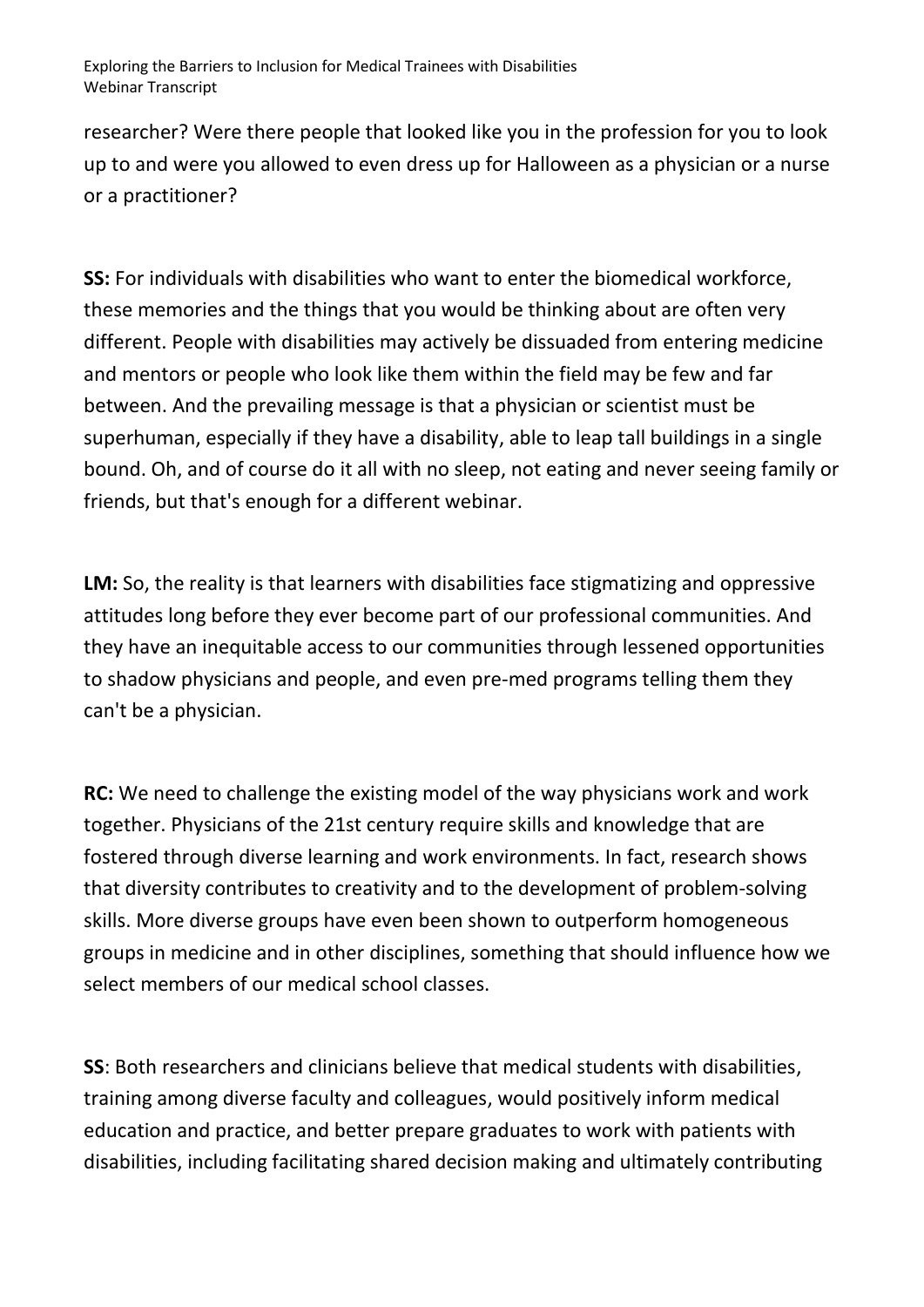researcher? Were there people that looked like you in the profession for you to look up to and were you allowed to even dress up for Halloween as a physician or a nurse or a practitioner?

**SS:** For individuals with disabilities who want to enter the biomedical workforce, these memories and the things that you would be thinking about are often very different. People with disabilities may actively be dissuaded from entering medicine and mentors or people who look like them within the field may be few and far between. And the prevailing message is that a physician or scientist must be superhuman, especially if they have a disability, able to leap tall buildings in a single bound. Oh, and of course do it all with no sleep, not eating and never seeing family or friends, but that's enough for a different webinar.

**LM:** So, the reality is that learners with disabilities face stigmatizing and oppressive attitudes long before they ever become part of our professional communities. And they have an inequitable access to our communities through lessened opportunities to shadow physicians and people, and even pre-med programs telling them they can't be a physician.

**RC:** We need to challenge the existing model of the way physicians work and work together. Physicians of the 21st century require skills and knowledge that are fostered through diverse learning and work environments. In fact, research shows that diversity contributes to creativity and to the development of problem-solving skills. More diverse groups have even been shown to outperform homogeneous groups in medicine and in other disciplines, something that should influence how we select members of our medical school classes.

**SS**: Both researchers and clinicians believe that medical students with disabilities, training among diverse faculty and colleagues, would positively inform medical education and practice, and better prepare graduates to work with patients with disabilities, including facilitating shared decision making and ultimately contributing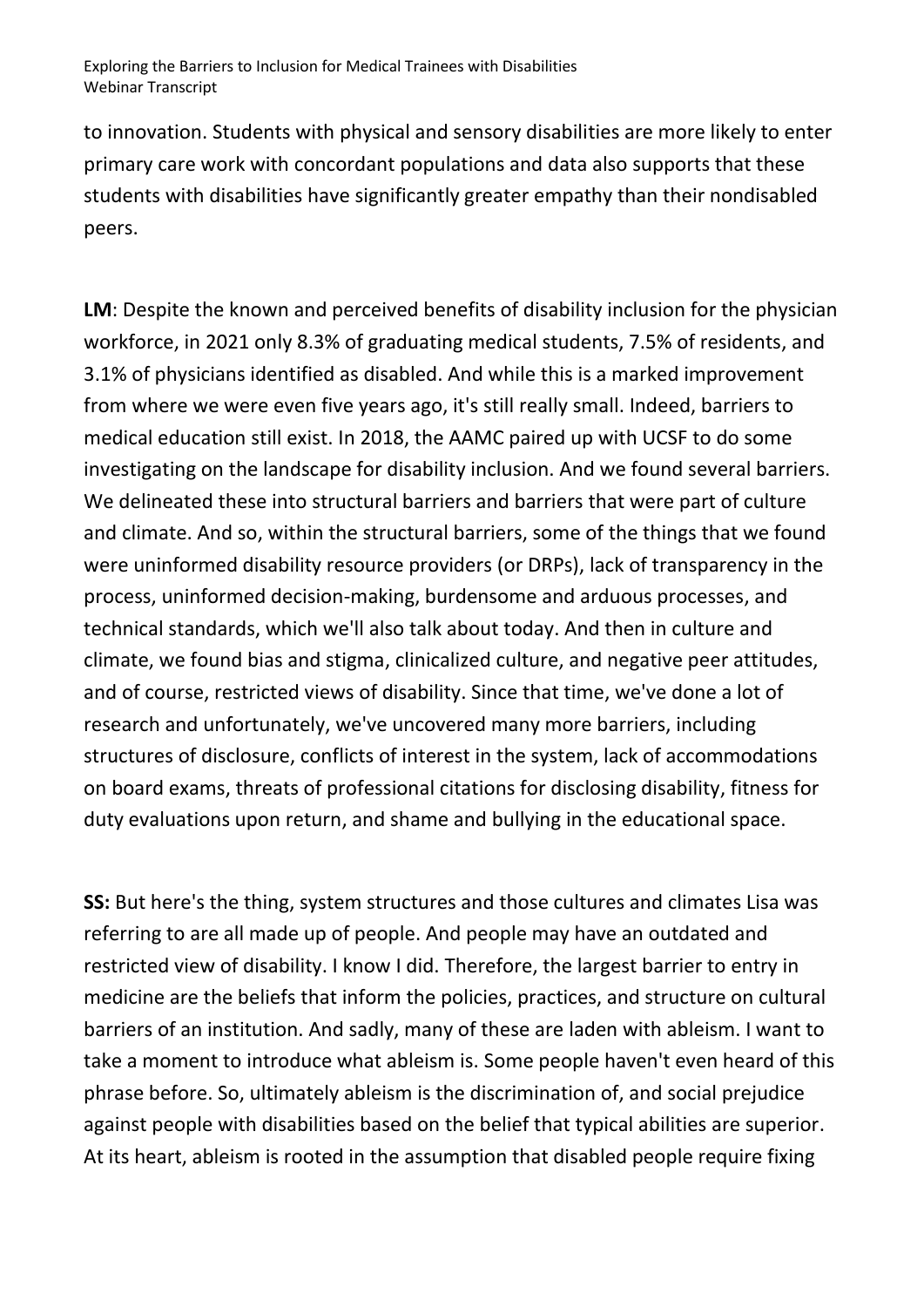to innovation. Students with physical and sensory disabilities are more likely to enter primary care work with concordant populations and data also supports that these students with disabilities have significantly greater empathy than their nondisabled peers.

**LM**: Despite the known and perceived benefits of disability inclusion for the physician workforce, in 2021 only 8.3% of graduating medical students, 7.5% of residents, and 3.1% of physicians identified as disabled. And while this is a marked improvement from where we were even five years ago, it's still really small. Indeed, barriers to medical education still exist. In 2018, the AAMC paired up with UCSF to do some investigating on the landscape for disability inclusion. And we found several barriers. We delineated these into structural barriers and barriers that were part of culture and climate. And so, within the structural barriers, some of the things that we found were uninformed disability resource providers (or DRPs), lack of transparency in the process, uninformed decision-making, burdensome and arduous processes, and technical standards, which we'll also talk about today. And then in culture and climate, we found bias and stigma, clinicalized culture, and negative peer attitudes, and of course, restricted views of disability. Since that time, we've done a lot of research and unfortunately, we've uncovered many more barriers, including structures of disclosure, conflicts of interest in the system, lack of accommodations on board exams, threats of professional citations for disclosing disability, fitness for duty evaluations upon return, and shame and bullying in the educational space.

**SS:** But here's the thing, system structures and those cultures and climates Lisa was referring to are all made up of people. And people may have an outdated and restricted view of disability. I know I did. Therefore, the largest barrier to entry in medicine are the beliefs that inform the policies, practices, and structure on cultural barriers of an institution. And sadly, many of these are laden with ableism. I want to take a moment to introduce what ableism is. Some people haven't even heard of this phrase before. So, ultimately ableism is the discrimination of, and social prejudice against people with disabilities based on the belief that typical abilities are superior. At its heart, ableism is rooted in the assumption that disabled people require fixing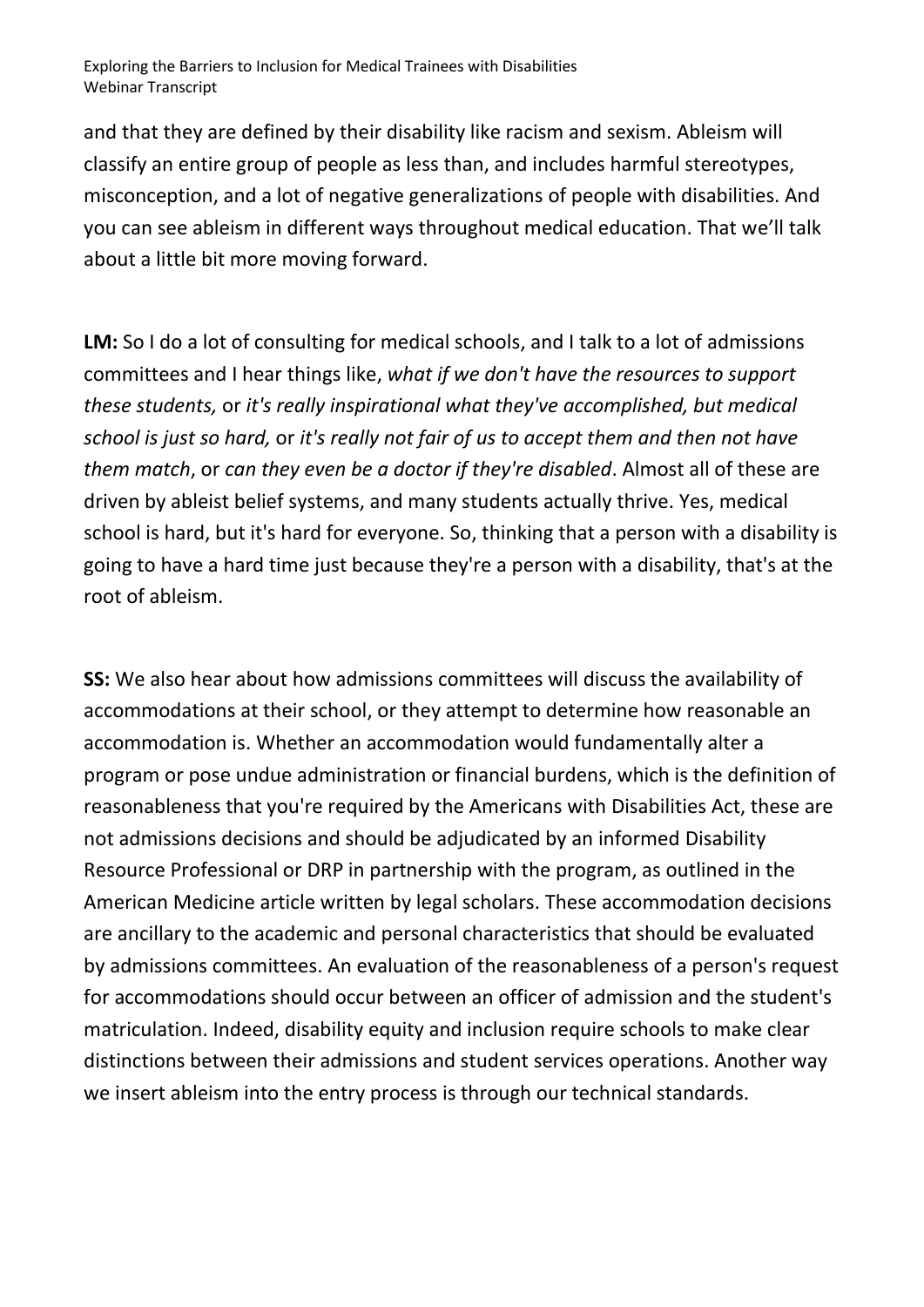and that they are defined by their disability like racism and sexism. Ableism will classify an entire group of people as less than, and includes harmful stereotypes, misconception, and a lot of negative generalizations of people with disabilities. And you can see ableism in different ways throughout medical education. That we'll talk about a little bit more moving forward.

**LM:** So I do a lot of consulting for medical schools, and I talk to a lot of admissions committees and I hear things like, *what if we don't have the resources to support these students,* or *it's really inspirational what they've accomplished, but medical school is just so hard,* or *it's really not fair of us to accept them and then not have them match*, or *can they even be a doctor if they're disabled*. Almost all of these are driven by ableist belief systems, and many students actually thrive. Yes, medical school is hard, but it's hard for everyone. So, thinking that a person with a disability is going to have a hard time just because they're a person with a disability, that's at the root of ableism.

**SS:** We also hear about how admissions committees will discuss the availability of accommodations at their school, or they attempt to determine how reasonable an accommodation is. Whether an accommodation would fundamentally alter a program or pose undue administration or financial burdens, which is the definition of reasonableness that you're required by the Americans with Disabilities Act, these are not admissions decisions and should be adjudicated by an informed Disability Resource Professional or DRP in partnership with the program, as outlined in the American Medicine article written by legal scholars. These accommodation decisions are ancillary to the academic and personal characteristics that should be evaluated by admissions committees. An evaluation of the reasonableness of a person's request for accommodations should occur between an officer of admission and the student's matriculation. Indeed, disability equity and inclusion require schools to make clear distinctions between their admissions and student services operations. Another way we insert ableism into the entry process is through our technical standards.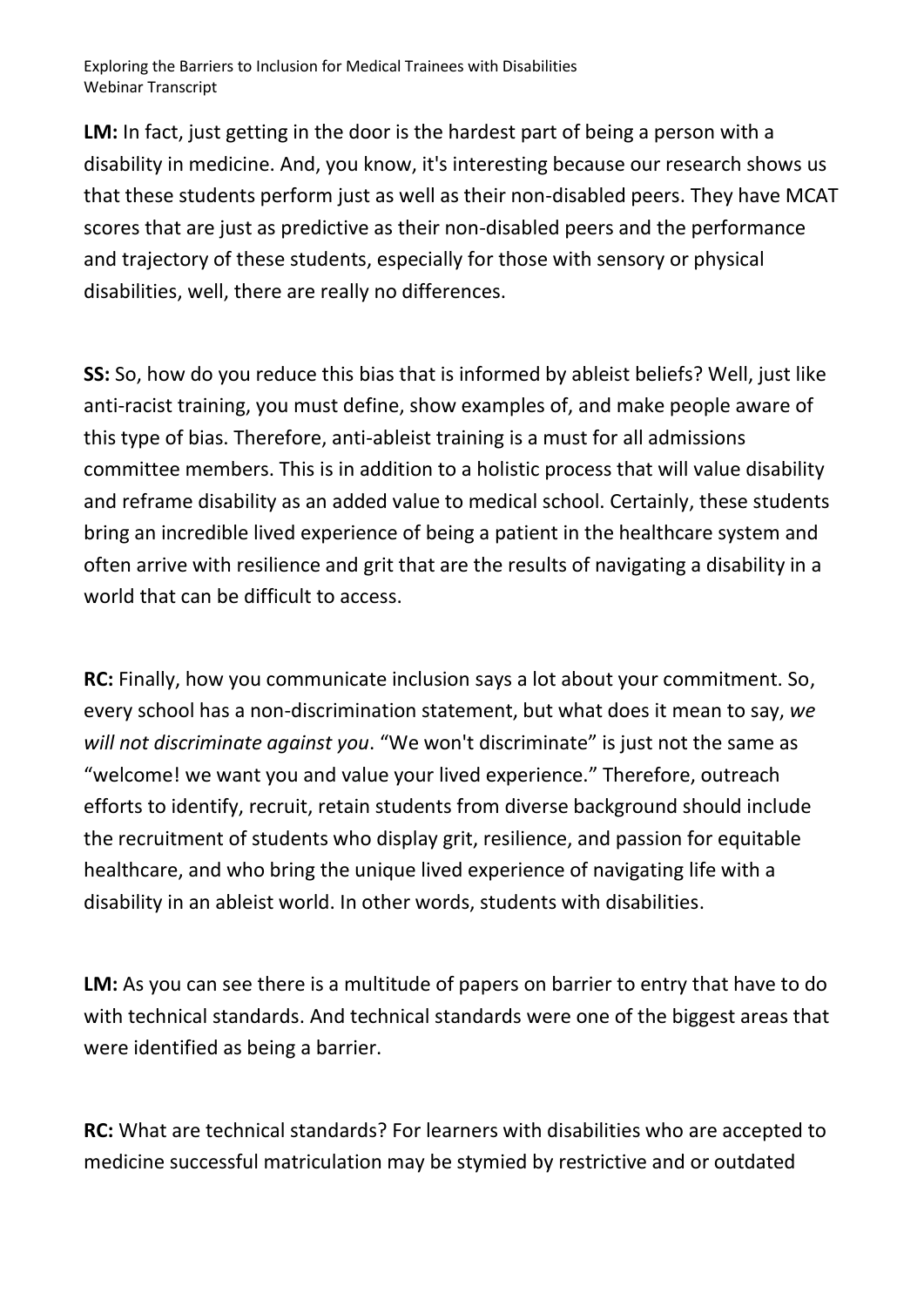**LM:** In fact, just getting in the door is the hardest part of being a person with a disability in medicine. And, you know, it's interesting because our research shows us that these students perform just as well as their non-disabled peers. They have MCAT scores that are just as predictive as their non-disabled peers and the performance and trajectory of these students, especially for those with sensory or physical disabilities, well, there are really no differences.

**SS:** So, how do you reduce this bias that is informed by ableist beliefs? Well, just like anti-racist training, you must define, show examples of, and make people aware of this type of bias. Therefore, anti-ableist training is a must for all admissions committee members. This is in addition to a holistic process that will value disability and reframe disability as an added value to medical school. Certainly, these students bring an incredible lived experience of being a patient in the healthcare system and often arrive with resilience and grit that are the results of navigating a disability in a world that can be difficult to access.

**RC:** Finally, how you communicate inclusion says a lot about your commitment. So, every school has a non-discrimination statement, but what does it mean to say, *we will not discriminate against you*. "We won't discriminate" is just not the same as "welcome! we want you and value your lived experience." Therefore, outreach efforts to identify, recruit, retain students from diverse background should include the recruitment of students who display grit, resilience, and passion for equitable healthcare, and who bring the unique lived experience of navigating life with a disability in an ableist world. In other words, students with disabilities.

**LM:** As you can see there is a multitude of papers on barrier to entry that have to do with technical standards. And technical standards were one of the biggest areas that were identified as being a barrier.

**RC:** What are technical standards? For learners with disabilities who are accepted to medicine successful matriculation may be stymied by restrictive and or outdated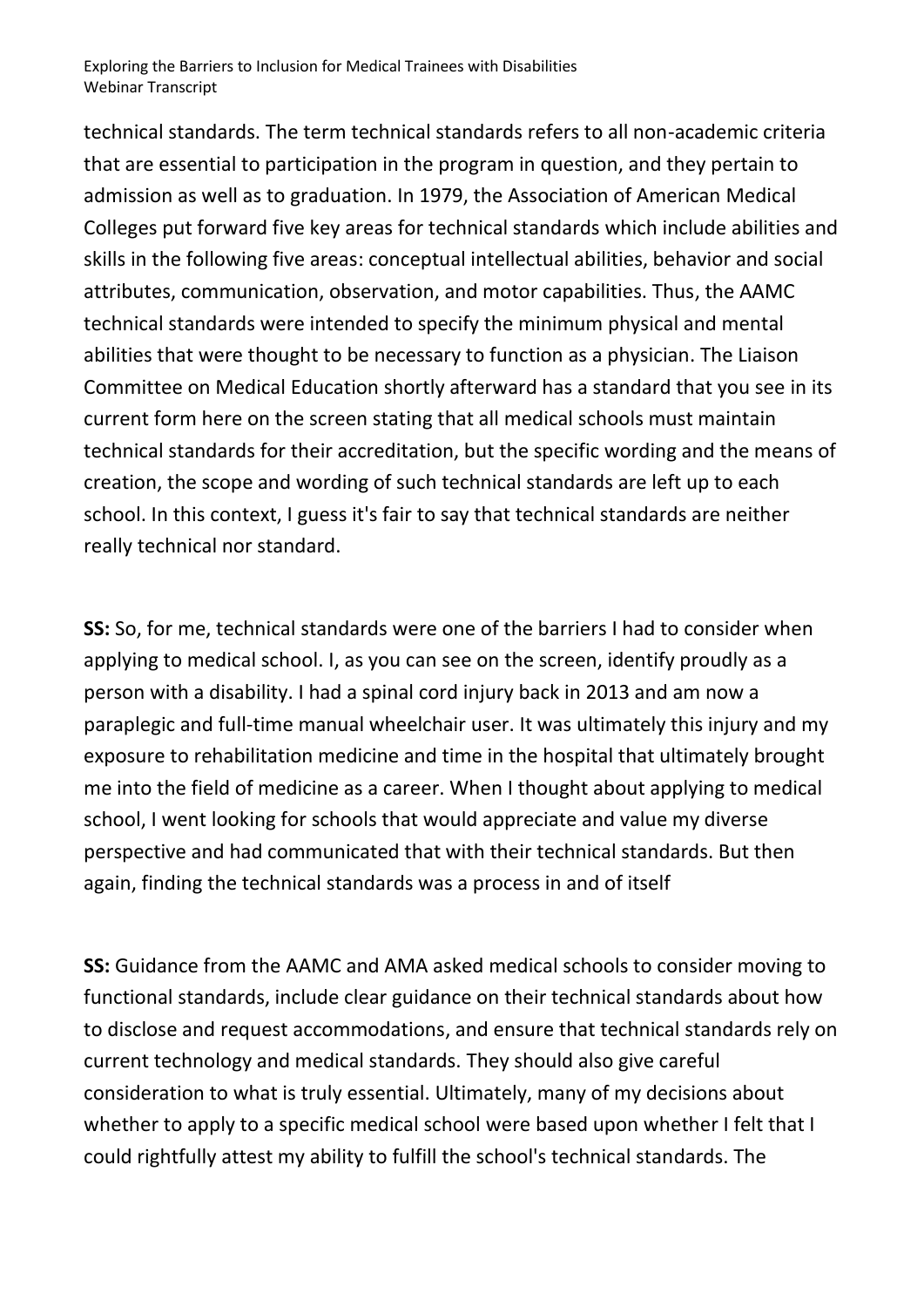technical standards. The term technical standards refers to all non-academic criteria that are essential to participation in the program in question, and they pertain to admission as well as to graduation. In 1979, the Association of American Medical Colleges put forward five key areas for technical standards which include abilities and skills in the following five areas: conceptual intellectual abilities, behavior and social attributes, communication, observation, and motor capabilities. Thus, the AAMC technical standards were intended to specify the minimum physical and mental abilities that were thought to be necessary to function as a physician. The Liaison Committee on Medical Education shortly afterward has a standard that you see in its current form here on the screen stating that all medical schools must maintain technical standards for their accreditation, but the specific wording and the means of creation, the scope and wording of such technical standards are left up to each school. In this context, I guess it's fair to say that technical standards are neither really technical nor standard.

**SS:** So, for me, technical standards were one of the barriers I had to consider when applying to medical school. I, as you can see on the screen, identify proudly as a person with a disability. I had a spinal cord injury back in 2013 and am now a paraplegic and full-time manual wheelchair user. It was ultimately this injury and my exposure to rehabilitation medicine and time in the hospital that ultimately brought me into the field of medicine as a career. When I thought about applying to medical school, I went looking for schools that would appreciate and value my diverse perspective and had communicated that with their technical standards. But then again, finding the technical standards was a process in and of itself

**SS:** Guidance from the AAMC and AMA asked medical schools to consider moving to functional standards, include clear guidance on their technical standards about how to disclose and request accommodations, and ensure that technical standards rely on current technology and medical standards. They should also give careful consideration to what is truly essential. Ultimately, many of my decisions about whether to apply to a specific medical school were based upon whether I felt that I could rightfully attest my ability to fulfill the school's technical standards. The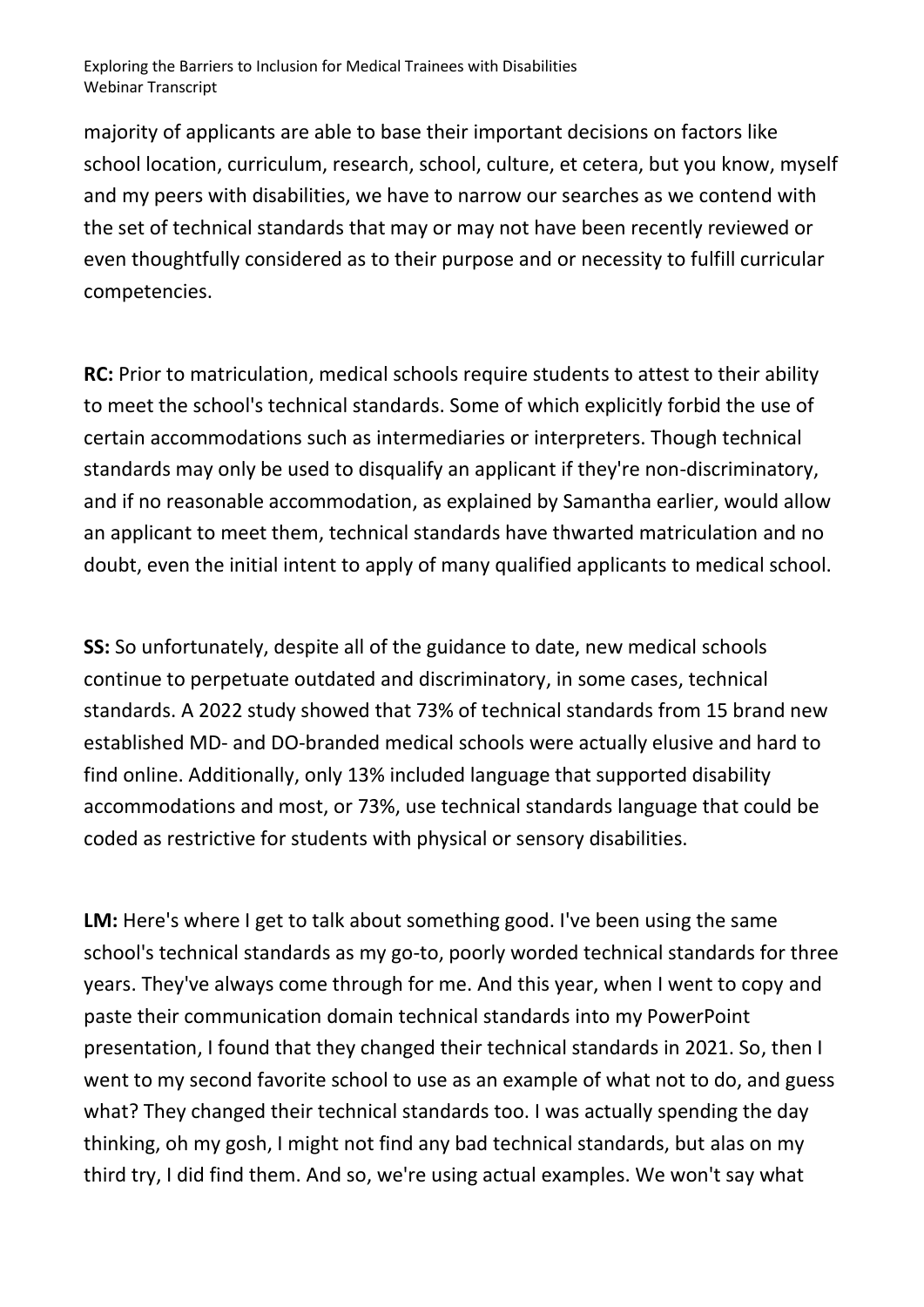majority of applicants are able to base their important decisions on factors like school location, curriculum, research, school, culture, et cetera, but you know, myself and my peers with disabilities, we have to narrow our searches as we contend with the set of technical standards that may or may not have been recently reviewed or even thoughtfully considered as to their purpose and or necessity to fulfill curricular competencies.

**RC:** Prior to matriculation, medical schools require students to attest to their ability to meet the school's technical standards. Some of which explicitly forbid the use of certain accommodations such as intermediaries or interpreters. Though technical standards may only be used to disqualify an applicant if they're non-discriminatory, and if no reasonable accommodation, as explained by Samantha earlier, would allow an applicant to meet them, technical standards have thwarted matriculation and no doubt, even the initial intent to apply of many qualified applicants to medical school.

**SS:** So unfortunately, despite all of the guidance to date, new medical schools continue to perpetuate outdated and discriminatory, in some cases, technical standards. A 2022 study showed that 73% of technical standards from 15 brand new established MD- and DO-branded medical schools were actually elusive and hard to find online. Additionally, only 13% included language that supported disability accommodations and most, or 73%, use technical standards language that could be coded as restrictive for students with physical or sensory disabilities.

LM: Here's where I get to talk about something good. I've been using the same school's technical standards as my go-to, poorly worded technical standards for three years. They've always come through for me. And this year, when I went to copy and paste their communication domain technical standards into my PowerPoint presentation, I found that they changed their technical standards in 2021. So, then I went to my second favorite school to use as an example of what not to do, and guess what? They changed their technical standards too. I was actually spending the day thinking, oh my gosh, I might not find any bad technical standards, but alas on my third try, I did find them. And so, we're using actual examples. We won't say what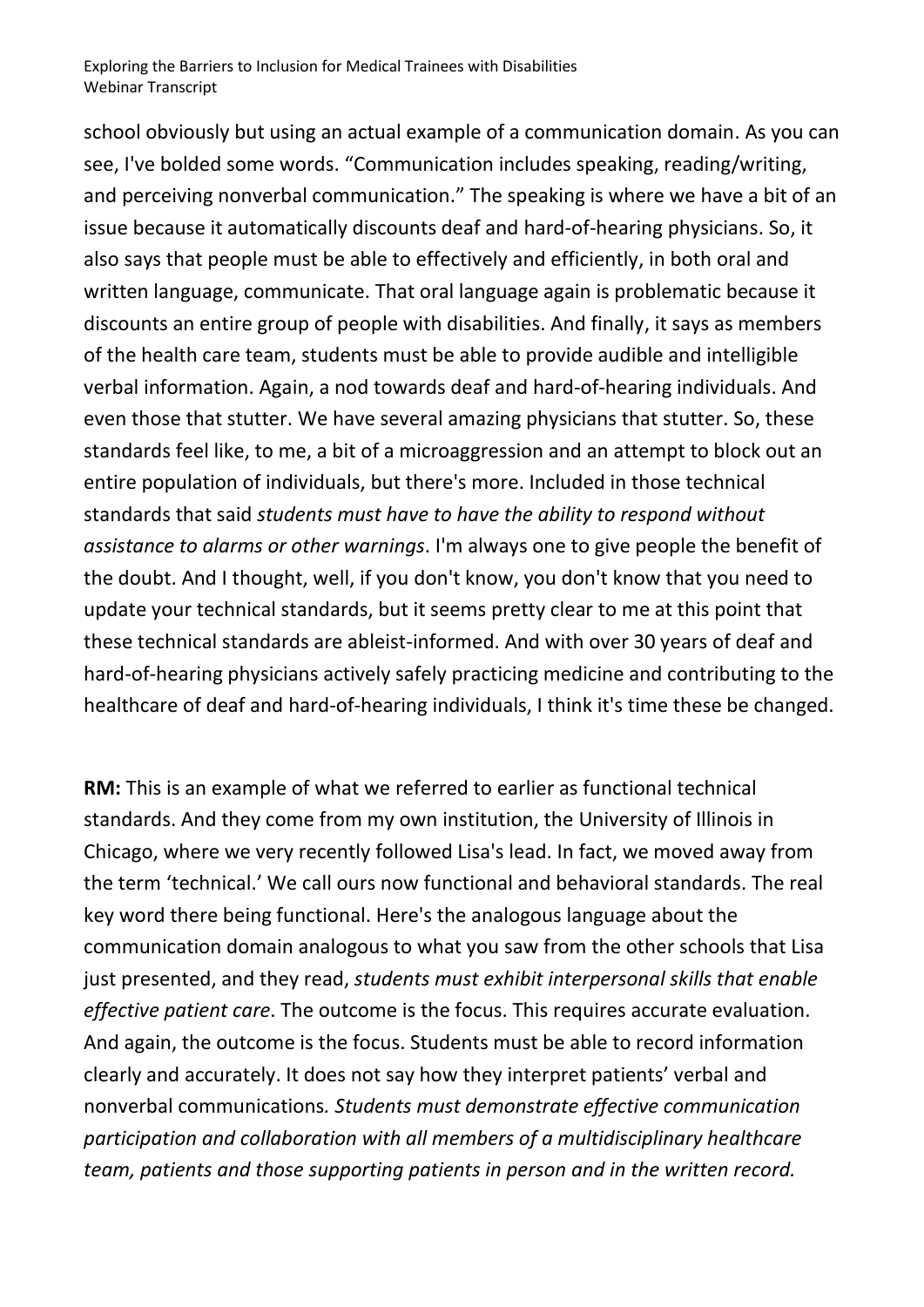school obviously but using an actual example of a communication domain. As you can see, I've bolded some words. "Communication includes speaking, reading/writing, and perceiving nonverbal communication." The speaking is where we have a bit of an issue because it automatically discounts deaf and hard-of-hearing physicians. So, it also says that people must be able to effectively and efficiently, in both oral and written language, communicate. That oral language again is problematic because it discounts an entire group of people with disabilities. And finally, it says as members of the health care team, students must be able to provide audible and intelligible verbal information. Again, a nod towards deaf and hard-of-hearing individuals. And even those that stutter. We have several amazing physicians that stutter. So, these standards feel like, to me, a bit of a microaggression and an attempt to block out an entire population of individuals, but there's more. Included in those technical standards that said *students must have to have the ability to respond without assistance to alarms or other warnings*. I'm always one to give people the benefit of the doubt. And I thought, well, if you don't know, you don't know that you need to update your technical standards, but it seems pretty clear to me at this point that these technical standards are ableist-informed. And with over 30 years of deaf and hard-of-hearing physicians actively safely practicing medicine and contributing to the healthcare of deaf and hard-of-hearing individuals, I think it's time these be changed.

**RM:** This is an example of what we referred to earlier as functional technical standards. And they come from my own institution, the University of Illinois in Chicago, where we very recently followed Lisa's lead. In fact, we moved away from the term 'technical.' We call ours now functional and behavioral standards. The real key word there being functional. Here's the analogous language about the communication domain analogous to what you saw from the other schools that Lisa just presented, and they read, *students must exhibit interpersonal skills that enable effective patient care*. The outcome is the focus. This requires accurate evaluation. And again, the outcome is the focus. Students must be able to record information clearly and accurately. It does not say how they interpret patients' verbal and nonverbal communications*. Students must demonstrate effective communication participation and collaboration with all members of a multidisciplinary healthcare team, patients and those supporting patients in person and in the written record.*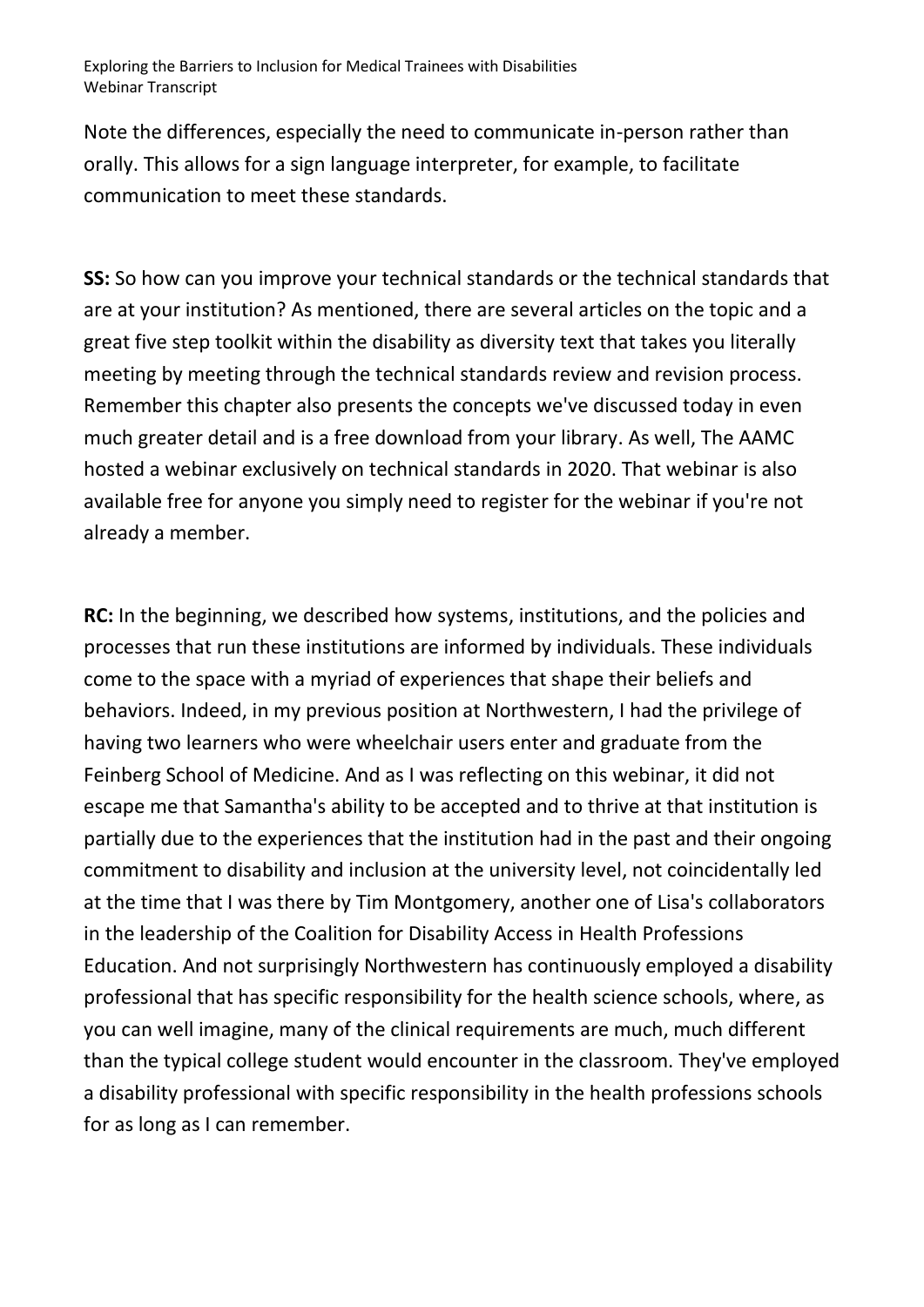Note the differences, especially the need to communicate in-person rather than orally. This allows for a sign language interpreter, for example, to facilitate communication to meet these standards.

**SS:** So how can you improve your technical standards or the technical standards that are at your institution? As mentioned, there are several articles on the topic and a great five step toolkit within the disability as diversity text that takes you literally meeting by meeting through the technical standards review and revision process. Remember this chapter also presents the concepts we've discussed today in even much greater detail and is a free download from your library. As well, The AAMC hosted a webinar exclusively on technical standards in 2020. That webinar is also available free for anyone you simply need to register for the webinar if you're not already a member.

**RC:** In the beginning, we described how systems, institutions, and the policies and processes that run these institutions are informed by individuals. These individuals come to the space with a myriad of experiences that shape their beliefs and behaviors. Indeed, in my previous position at Northwestern, I had the privilege of having two learners who were wheelchair users enter and graduate from the Feinberg School of Medicine. And as I was reflecting on this webinar, it did not escape me that Samantha's ability to be accepted and to thrive at that institution is partially due to the experiences that the institution had in the past and their ongoing commitment to disability and inclusion at the university level, not coincidentally led at the time that I was there by Tim Montgomery, another one of Lisa's collaborators in the leadership of the Coalition for Disability Access in Health Professions Education. And not surprisingly Northwestern has continuously employed a disability professional that has specific responsibility for the health science schools, where, as you can well imagine, many of the clinical requirements are much, much different than the typical college student would encounter in the classroom. They've employed a disability professional with specific responsibility in the health professions schools for as long as I can remember.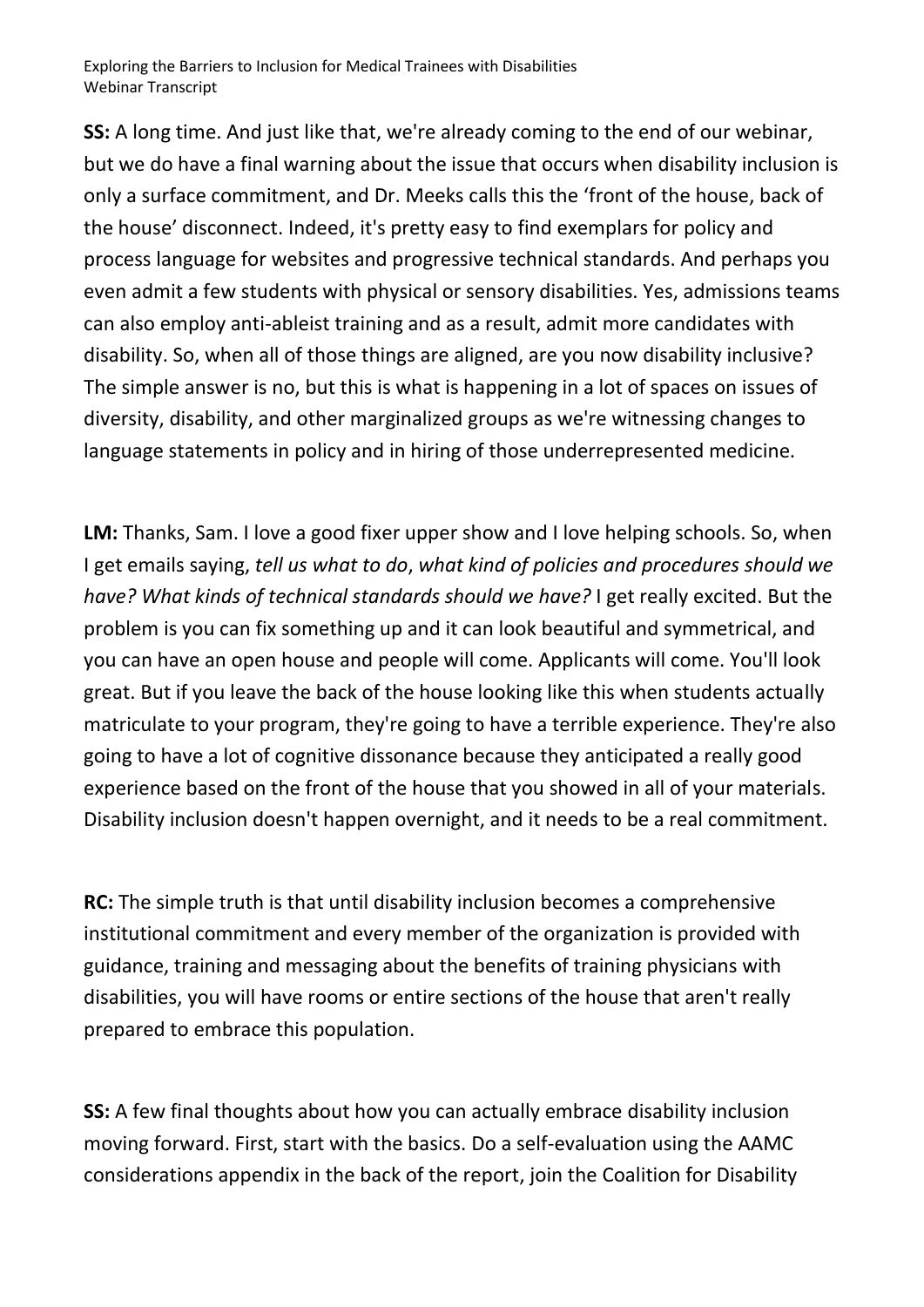**SS:** A long time. And just like that, we're already coming to the end of our webinar, but we do have a final warning about the issue that occurs when disability inclusion is only a surface commitment, and Dr. Meeks calls this the 'front of the house, back of the house' disconnect. Indeed, it's pretty easy to find exemplars for policy and process language for websites and progressive technical standards. And perhaps you even admit a few students with physical or sensory disabilities. Yes, admissions teams can also employ anti-ableist training and as a result, admit more candidates with disability. So, when all of those things are aligned, are you now disability inclusive? The simple answer is no, but this is what is happening in a lot of spaces on issues of diversity, disability, and other marginalized groups as we're witnessing changes to language statements in policy and in hiring of those underrepresented medicine.

**LM:** Thanks, Sam. I love a good fixer upper show and I love helping schools. So, when I get emails saying, *tell us what to do*, *what kind of policies and procedures should we have? What kinds of technical standards should we have?* I get really excited. But the problem is you can fix something up and it can look beautiful and symmetrical, and you can have an open house and people will come. Applicants will come. You'll look great. But if you leave the back of the house looking like this when students actually matriculate to your program, they're going to have a terrible experience. They're also going to have a lot of cognitive dissonance because they anticipated a really good experience based on the front of the house that you showed in all of your materials. Disability inclusion doesn't happen overnight, and it needs to be a real commitment.

**RC:** The simple truth is that until disability inclusion becomes a comprehensive institutional commitment and every member of the organization is provided with guidance, training and messaging about the benefits of training physicians with disabilities, you will have rooms or entire sections of the house that aren't really prepared to embrace this population.

**SS:** A few final thoughts about how you can actually embrace disability inclusion moving forward. First, start with the basics. Do a self-evaluation using the AAMC considerations appendix in the back of the report, join the Coalition for Disability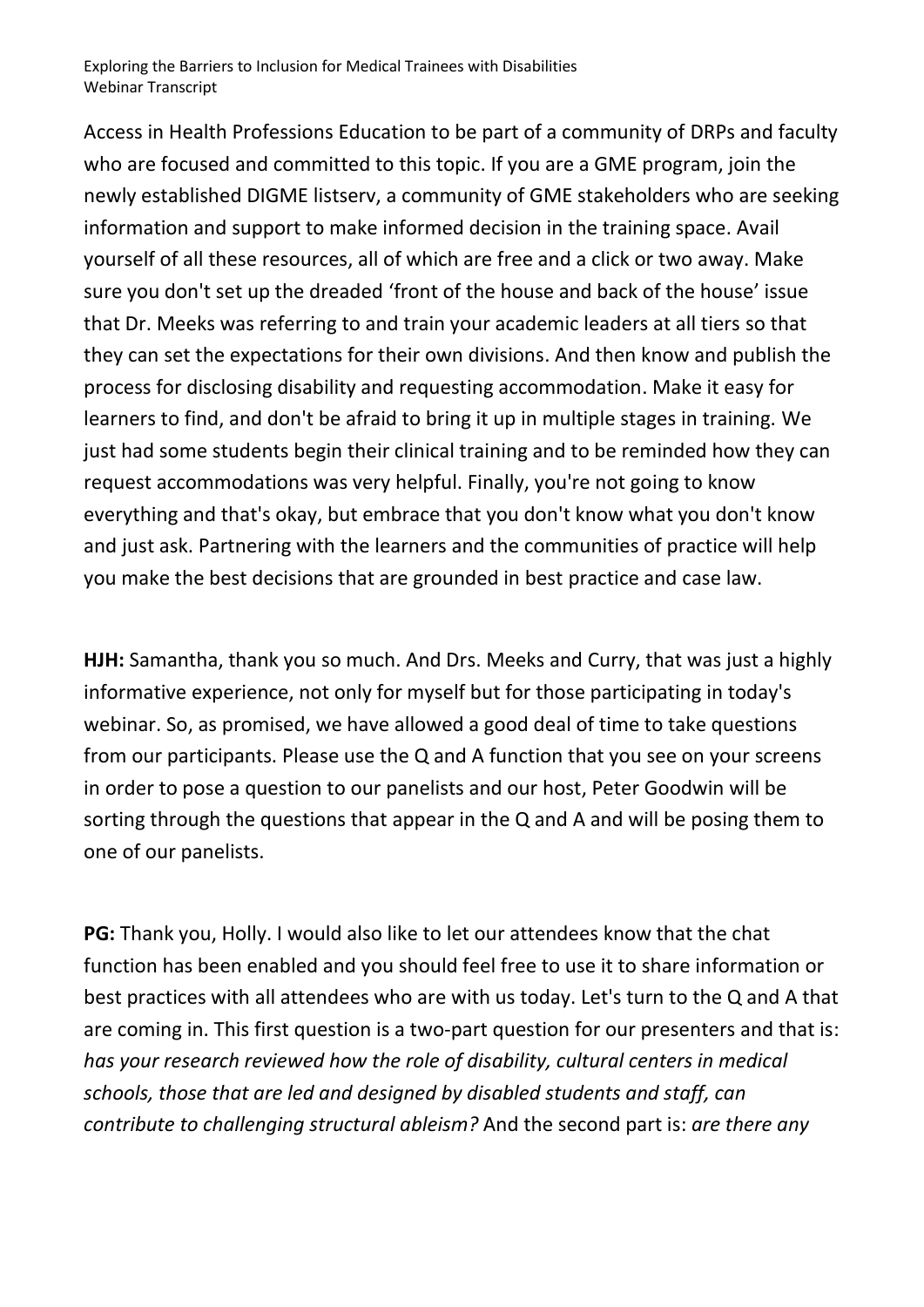Access in Health Professions Education to be part of a community of DRPs and faculty who are focused and committed to this topic. If you are a GME program, join the newly established DIGME listserv, a community of GME stakeholders who are seeking information and support to make informed decision in the training space. Avail yourself of all these resources, all of which are free and a click or two away. Make sure you don't set up the dreaded 'front of the house and back of the house' issue that Dr. Meeks was referring to and train your academic leaders at all tiers so that they can set the expectations for their own divisions. And then know and publish the process for disclosing disability and requesting accommodation. Make it easy for learners to find, and don't be afraid to bring it up in multiple stages in training. We just had some students begin their clinical training and to be reminded how they can request accommodations was very helpful. Finally, you're not going to know everything and that's okay, but embrace that you don't know what you don't know and just ask. Partnering with the learners and the communities of practice will help you make the best decisions that are grounded in best practice and case law.

**HJH:** Samantha, thank you so much. And Drs. Meeks and Curry, that was just a highly informative experience, not only for myself but for those participating in today's webinar. So, as promised, we have allowed a good deal of time to take questions from our participants. Please use the Q and A function that you see on your screens in order to pose a question to our panelists and our host, Peter Goodwin will be sorting through the questions that appear in the Q and A and will be posing them to one of our panelists.

**PG:** Thank you, Holly. I would also like to let our attendees know that the chat function has been enabled and you should feel free to use it to share information or best practices with all attendees who are with us today. Let's turn to the Q and A that are coming in. This first question is a two-part question for our presenters and that is: *has your research reviewed how the role of disability, cultural centers in medical schools, those that are led and designed by disabled students and staff, can contribute to challenging structural ableism?* And the second part is: *are there any*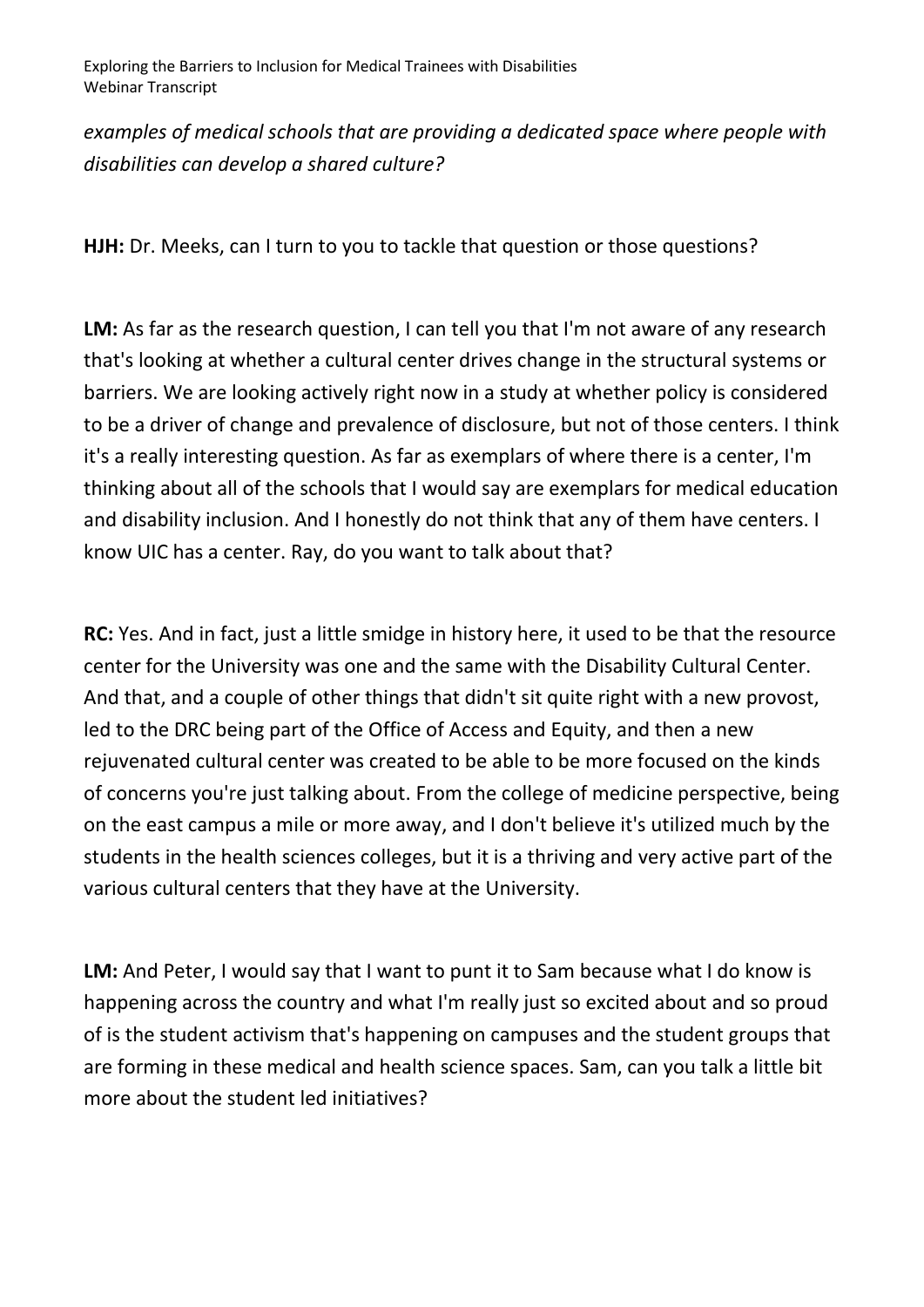*examples of medical schools that are providing a dedicated space where people with disabilities can develop a shared culture?* 

**HJH:** Dr. Meeks, can I turn to you to tackle that question or those questions?

LM: As far as the research question, I can tell you that I'm not aware of any research that's looking at whether a cultural center drives change in the structural systems or barriers. We are looking actively right now in a study at whether policy is considered to be a driver of change and prevalence of disclosure, but not of those centers. I think it's a really interesting question. As far as exemplars of where there is a center, I'm thinking about all of the schools that I would say are exemplars for medical education and disability inclusion. And I honestly do not think that any of them have centers. I know UIC has a center. Ray, do you want to talk about that?

**RC:** Yes. And in fact, just a little smidge in history here, it used to be that the resource center for the University was one and the same with the Disability Cultural Center. And that, and a couple of other things that didn't sit quite right with a new provost, led to the DRC being part of the Office of Access and Equity, and then a new rejuvenated cultural center was created to be able to be more focused on the kinds of concerns you're just talking about. From the college of medicine perspective, being on the east campus a mile or more away, and I don't believe it's utilized much by the students in the health sciences colleges, but it is a thriving and very active part of the various cultural centers that they have at the University.

LM: And Peter, I would say that I want to punt it to Sam because what I do know is happening across the country and what I'm really just so excited about and so proud of is the student activism that's happening on campuses and the student groups that are forming in these medical and health science spaces. Sam, can you talk a little bit more about the student led initiatives?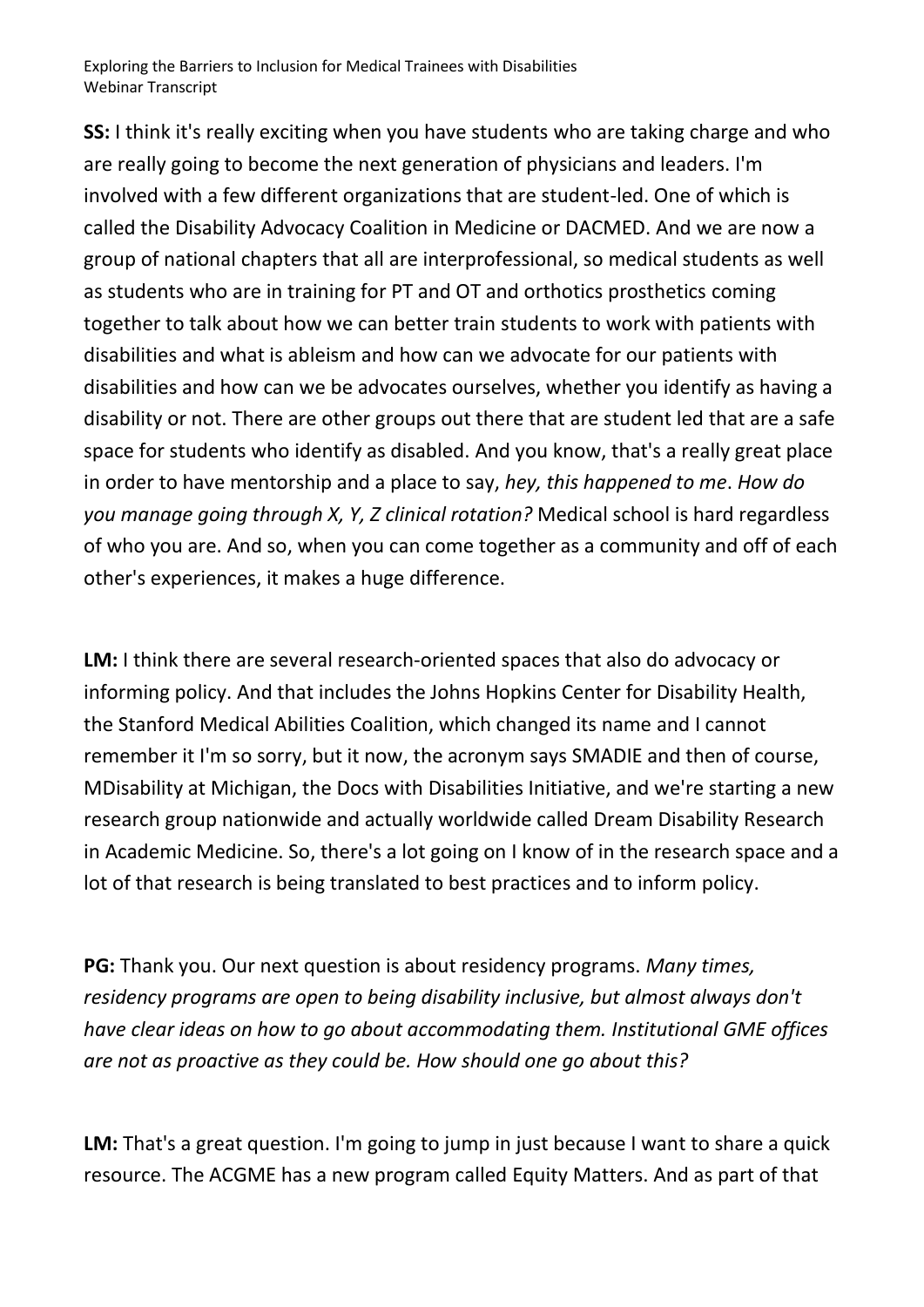**SS:** I think it's really exciting when you have students who are taking charge and who are really going to become the next generation of physicians and leaders. I'm involved with a few different organizations that are student-led. One of which is called the Disability Advocacy Coalition in Medicine or DACMED. And we are now a group of national chapters that all are interprofessional, so medical students as well as students who are in training for PT and OT and orthotics prosthetics coming together to talk about how we can better train students to work with patients with disabilities and what is ableism and how can we advocate for our patients with disabilities and how can we be advocates ourselves, whether you identify as having a disability or not. There are other groups out there that are student led that are a safe space for students who identify as disabled. And you know, that's a really great place in order to have mentorship and a place to say, *hey, this happened to me*. *How do you manage going through X, Y, Z clinical rotation?* Medical school is hard regardless of who you are. And so, when you can come together as a community and off of each other's experiences, it makes a huge difference.

**LM:** I think there are several research-oriented spaces that also do advocacy or informing policy. And that includes the Johns Hopkins Center for Disability Health, the Stanford Medical Abilities Coalition, which changed its name and I cannot remember it I'm so sorry, but it now, the acronym says SMADIE and then of course, MDisability at Michigan, the Docs with Disabilities Initiative, and we're starting a new research group nationwide and actually worldwide called Dream Disability Research in Academic Medicine. So, there's a lot going on I know of in the research space and a lot of that research is being translated to best practices and to inform policy.

**PG:** Thank you. Our next question is about residency programs. *Many times, residency programs are open to being disability inclusive, but almost always don't have clear ideas on how to go about accommodating them. Institutional GME offices are not as proactive as they could be. How should one go about this?* 

**LM:** That's a great question. I'm going to jump in just because I want to share a quick resource. The ACGME has a new program called Equity Matters. And as part of that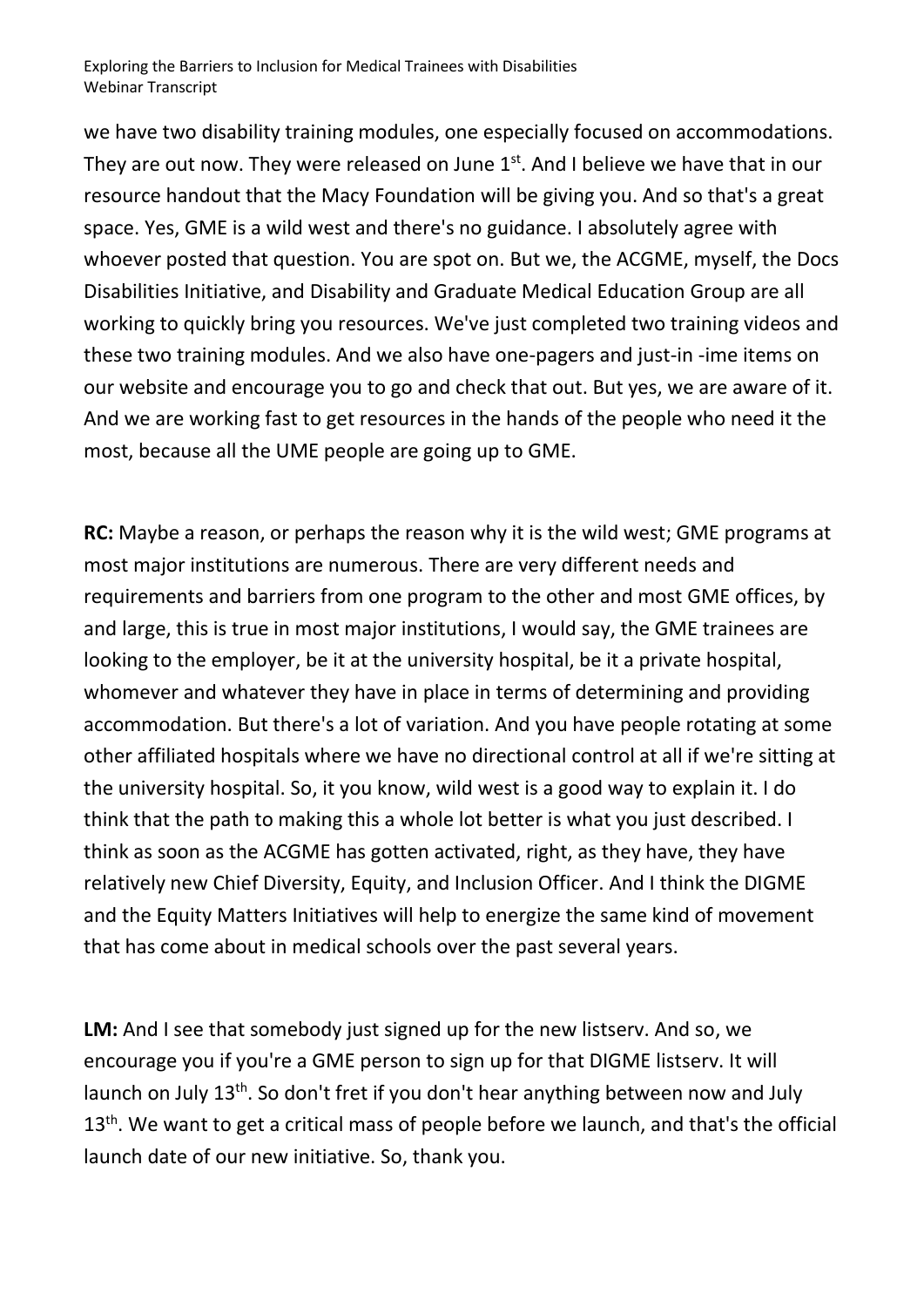we have two disability training modules, one especially focused on accommodations. They are out now. They were released on June  $1<sup>st</sup>$ . And I believe we have that in our resource handout that the Macy Foundation will be giving you. And so that's a great space. Yes, GME is a wild west and there's no guidance. I absolutely agree with whoever posted that question. You are spot on. But we, the ACGME, myself, the Docs Disabilities Initiative, and Disability and Graduate Medical Education Group are all working to quickly bring you resources. We've just completed two training videos and these two training modules. And we also have one-pagers and just-in -ime items on our website and encourage you to go and check that out. But yes, we are aware of it. And we are working fast to get resources in the hands of the people who need it the most, because all the UME people are going up to GME.

**RC:** Maybe a reason, or perhaps the reason why it is the wild west; GME programs at most major institutions are numerous. There are very different needs and requirements and barriers from one program to the other and most GME offices, by and large, this is true in most major institutions, I would say, the GME trainees are looking to the employer, be it at the university hospital, be it a private hospital, whomever and whatever they have in place in terms of determining and providing accommodation. But there's a lot of variation. And you have people rotating at some other affiliated hospitals where we have no directional control at all if we're sitting at the university hospital. So, it you know, wild west is a good way to explain it. I do think that the path to making this a whole lot better is what you just described. I think as soon as the ACGME has gotten activated, right, as they have, they have relatively new Chief Diversity, Equity, and Inclusion Officer. And I think the DIGME and the Equity Matters Initiatives will help to energize the same kind of movement that has come about in medical schools over the past several years.

**LM:** And I see that somebody just signed up for the new listserv. And so, we encourage you if you're a GME person to sign up for that DIGME listserv. It will launch on July 13<sup>th</sup>. So don't fret if you don't hear anything between now and July 13<sup>th</sup>. We want to get a critical mass of people before we launch, and that's the official launch date of our new initiative. So, thank you.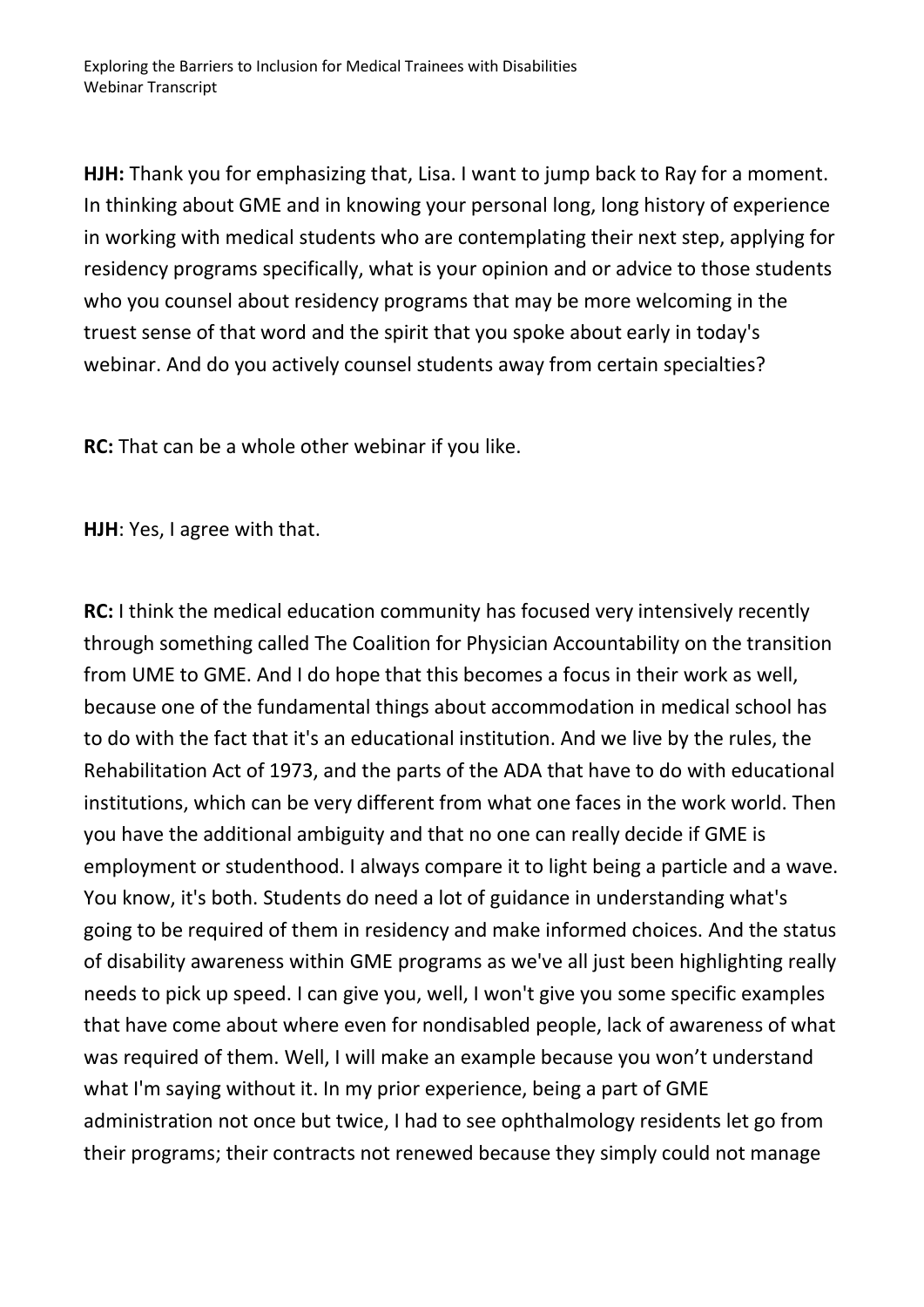**HJH:** Thank you for emphasizing that, Lisa. I want to jump back to Ray for a moment. In thinking about GME and in knowing your personal long, long history of experience in working with medical students who are contemplating their next step, applying for residency programs specifically, what is your opinion and or advice to those students who you counsel about residency programs that may be more welcoming in the truest sense of that word and the spirit that you spoke about early in today's webinar. And do you actively counsel students away from certain specialties?

**RC:** That can be a whole other webinar if you like.

**HJH**: Yes, I agree with that.

**RC:** I think the medical education community has focused very intensively recently through something called The Coalition for Physician Accountability on the transition from UME to GME. And I do hope that this becomes a focus in their work as well, because one of the fundamental things about accommodation in medical school has to do with the fact that it's an educational institution. And we live by the rules, the Rehabilitation Act of 1973, and the parts of the ADA that have to do with educational institutions, which can be very different from what one faces in the work world. Then you have the additional ambiguity and that no one can really decide if GME is employment or studenthood. I always compare it to light being a particle and a wave. You know, it's both. Students do need a lot of guidance in understanding what's going to be required of them in residency and make informed choices. And the status of disability awareness within GME programs as we've all just been highlighting really needs to pick up speed. I can give you, well, I won't give you some specific examples that have come about where even for nondisabled people, lack of awareness of what was required of them. Well, I will make an example because you won't understand what I'm saying without it. In my prior experience, being a part of GME administration not once but twice, I had to see ophthalmology residents let go from their programs; their contracts not renewed because they simply could not manage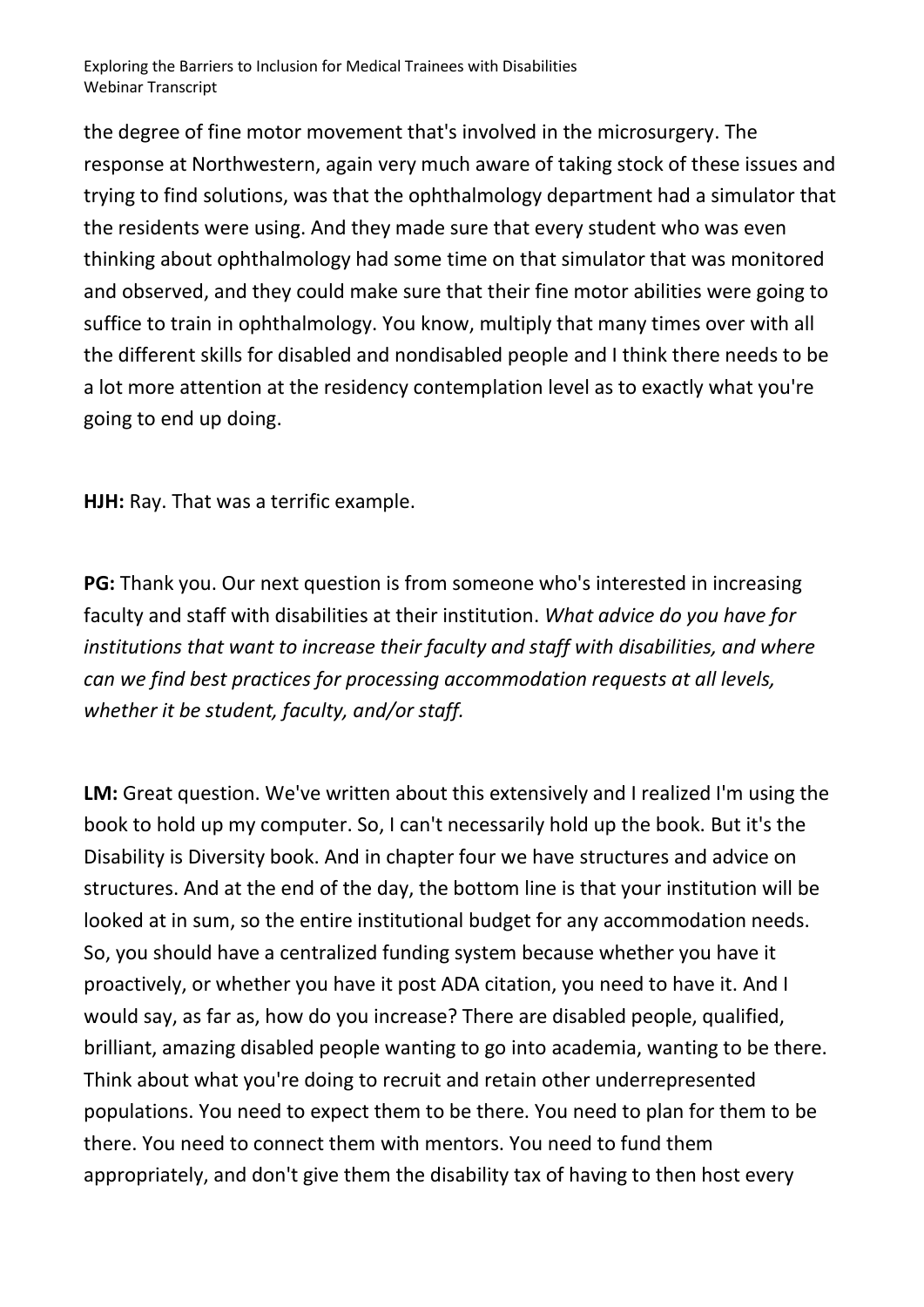the degree of fine motor movement that's involved in the microsurgery. The response at Northwestern, again very much aware of taking stock of these issues and trying to find solutions, was that the ophthalmology department had a simulator that the residents were using. And they made sure that every student who was even thinking about ophthalmology had some time on that simulator that was monitored and observed, and they could make sure that their fine motor abilities were going to suffice to train in ophthalmology. You know, multiply that many times over with all the different skills for disabled and nondisabled people and I think there needs to be a lot more attention at the residency contemplation level as to exactly what you're going to end up doing.

**HJH:** Ray. That was a terrific example.

**PG:** Thank you. Our next question is from someone who's interested in increasing faculty and staff with disabilities at their institution. *What advice do you have for institutions that want to increase their faculty and staff with disabilities, and where can we find best practices for processing accommodation requests at all levels, whether it be student, faculty, and/or staff.* 

**LM:** Great question. We've written about this extensively and I realized I'm using the book to hold up my computer. So, I can't necessarily hold up the book. But it's the Disability is Diversity book. And in chapter four we have structures and advice on structures. And at the end of the day, the bottom line is that your institution will be looked at in sum, so the entire institutional budget for any accommodation needs. So, you should have a centralized funding system because whether you have it proactively, or whether you have it post ADA citation, you need to have it. And I would say, as far as, how do you increase? There are disabled people, qualified, brilliant, amazing disabled people wanting to go into academia, wanting to be there. Think about what you're doing to recruit and retain other underrepresented populations. You need to expect them to be there. You need to plan for them to be there. You need to connect them with mentors. You need to fund them appropriately, and don't give them the disability tax of having to then host every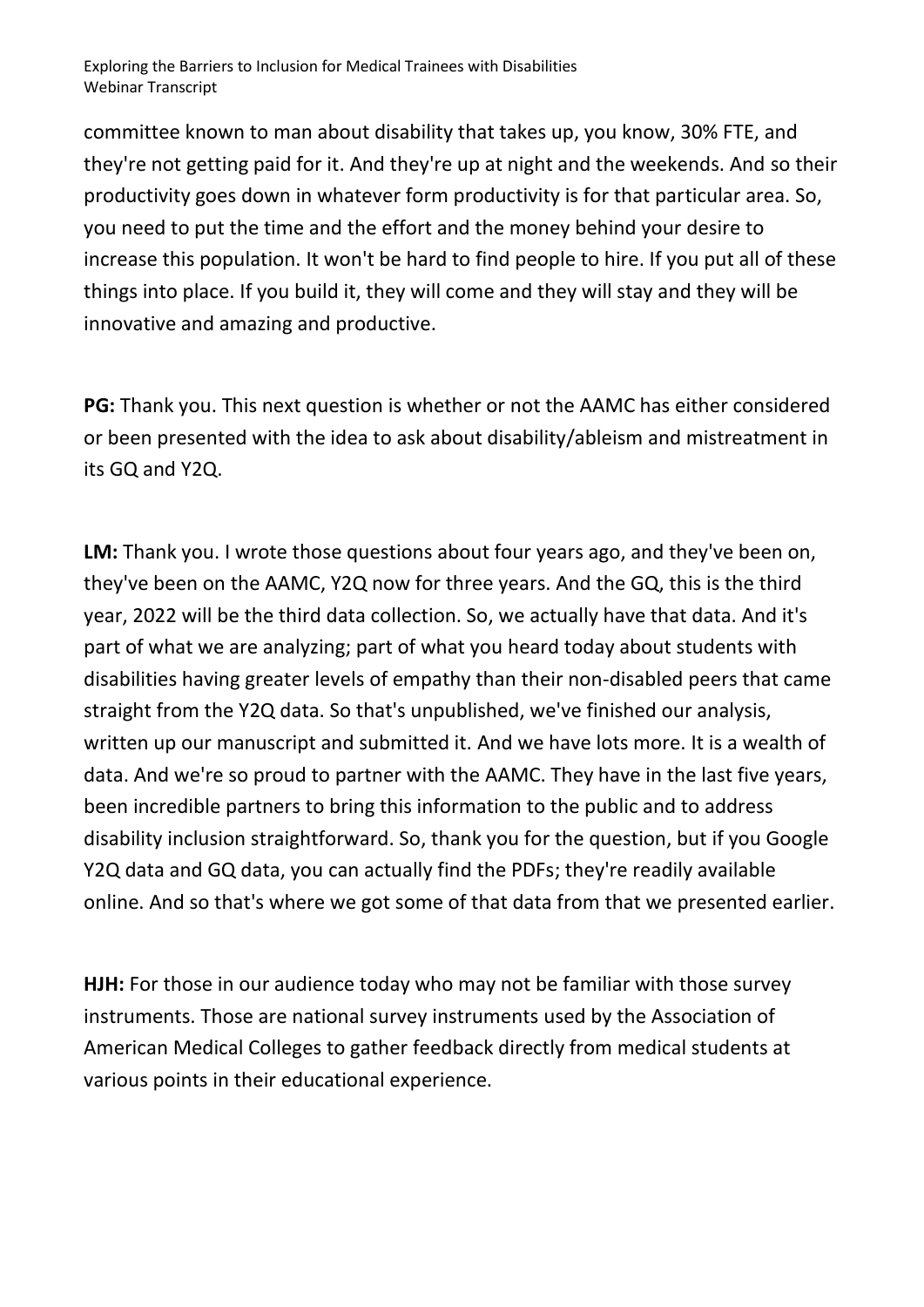committee known to man about disability that takes up, you know, 30% FTE, and they're not getting paid for it. And they're up at night and the weekends. And so their productivity goes down in whatever form productivity is for that particular area. So, you need to put the time and the effort and the money behind your desire to increase this population. It won't be hard to find people to hire. If you put all of these things into place. If you build it, they will come and they will stay and they will be innovative and amazing and productive.

**PG:** Thank you. This next question is whether or not the AAMC has either considered or been presented with the idea to ask about disability/ableism and mistreatment in its GQ and Y2Q.

**LM:** Thank you. I wrote those questions about four years ago, and they've been on, they've been on the AAMC, Y2Q now for three years. And the GQ, this is the third year, 2022 will be the third data collection. So, we actually have that data. And it's part of what we are analyzing; part of what you heard today about students with disabilities having greater levels of empathy than their non-disabled peers that came straight from the Y2Q data. So that's unpublished, we've finished our analysis, written up our manuscript and submitted it. And we have lots more. It is a wealth of data. And we're so proud to partner with the AAMC. They have in the last five years, been incredible partners to bring this information to the public and to address disability inclusion straightforward. So, thank you for the question, but if you Google Y2Q data and GQ data, you can actually find the PDFs; they're readily available online. And so that's where we got some of that data from that we presented earlier.

**HJH:** For those in our audience today who may not be familiar with those survey instruments. Those are national survey instruments used by the Association of American Medical Colleges to gather feedback directly from medical students at various points in their educational experience.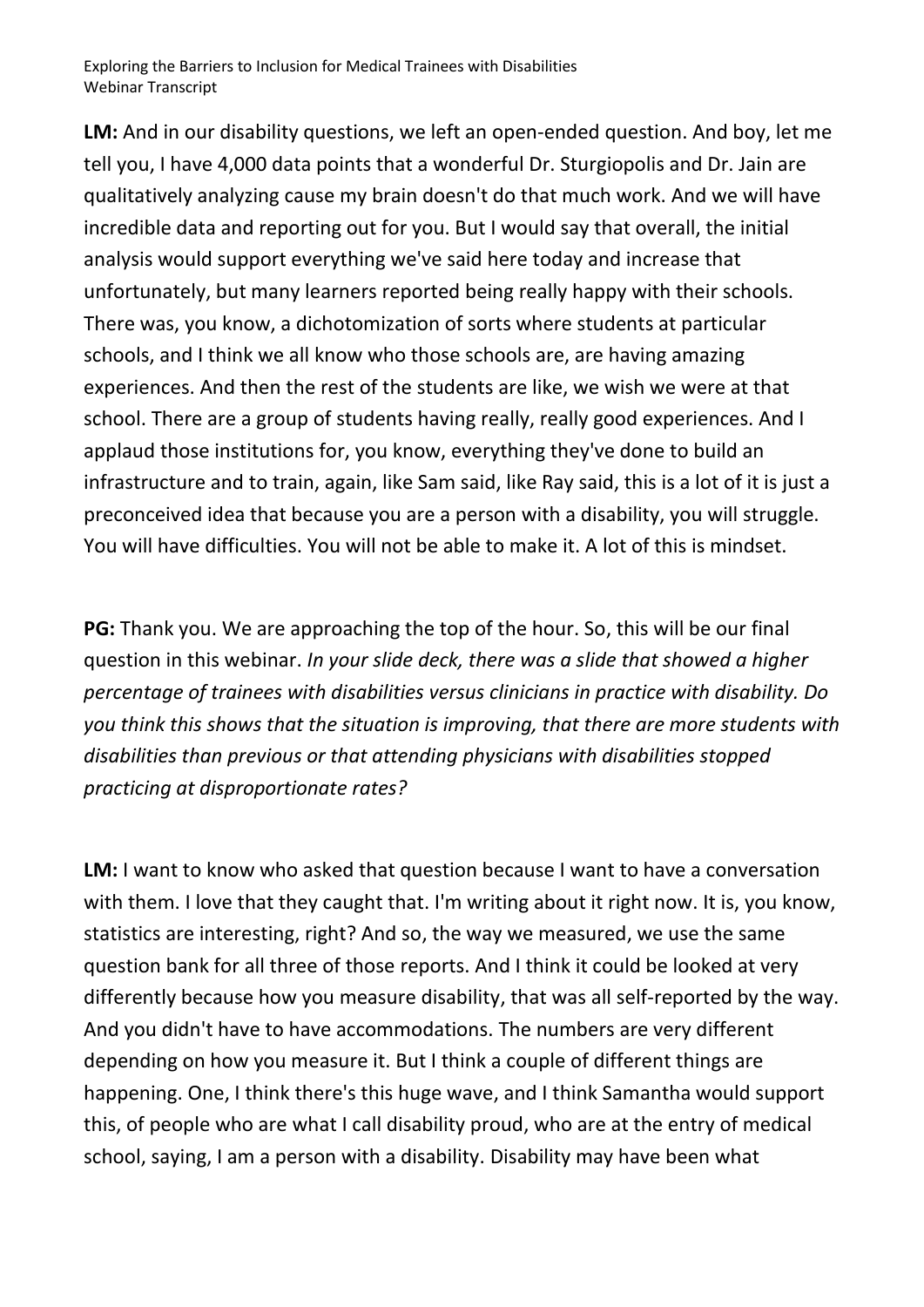**LM:** And in our disability questions, we left an open-ended question. And boy, let me tell you, I have 4,000 data points that a wonderful Dr. Sturgiopolis and Dr. Jain are qualitatively analyzing cause my brain doesn't do that much work. And we will have incredible data and reporting out for you. But I would say that overall, the initial analysis would support everything we've said here today and increase that unfortunately, but many learners reported being really happy with their schools. There was, you know, a dichotomization of sorts where students at particular schools, and I think we all know who those schools are, are having amazing experiences. And then the rest of the students are like, we wish we were at that school. There are a group of students having really, really good experiences. And I applaud those institutions for, you know, everything they've done to build an infrastructure and to train, again, like Sam said, like Ray said, this is a lot of it is just a preconceived idea that because you are a person with a disability, you will struggle. You will have difficulties. You will not be able to make it. A lot of this is mindset.

**PG:** Thank you. We are approaching the top of the hour. So, this will be our final question in this webinar. *In your slide deck, there was a slide that showed a higher percentage of trainees with disabilities versus clinicians in practice with disability. Do you think this shows that the situation is improving, that there are more students with disabilities than previous or that attending physicians with disabilities stopped practicing at disproportionate rates?* 

**LM:** I want to know who asked that question because I want to have a conversation with them. I love that they caught that. I'm writing about it right now. It is, you know, statistics are interesting, right? And so, the way we measured, we use the same question bank for all three of those reports. And I think it could be looked at very differently because how you measure disability, that was all self-reported by the way. And you didn't have to have accommodations. The numbers are very different depending on how you measure it. But I think a couple of different things are happening. One, I think there's this huge wave, and I think Samantha would support this, of people who are what I call disability proud, who are at the entry of medical school, saying, I am a person with a disability. Disability may have been what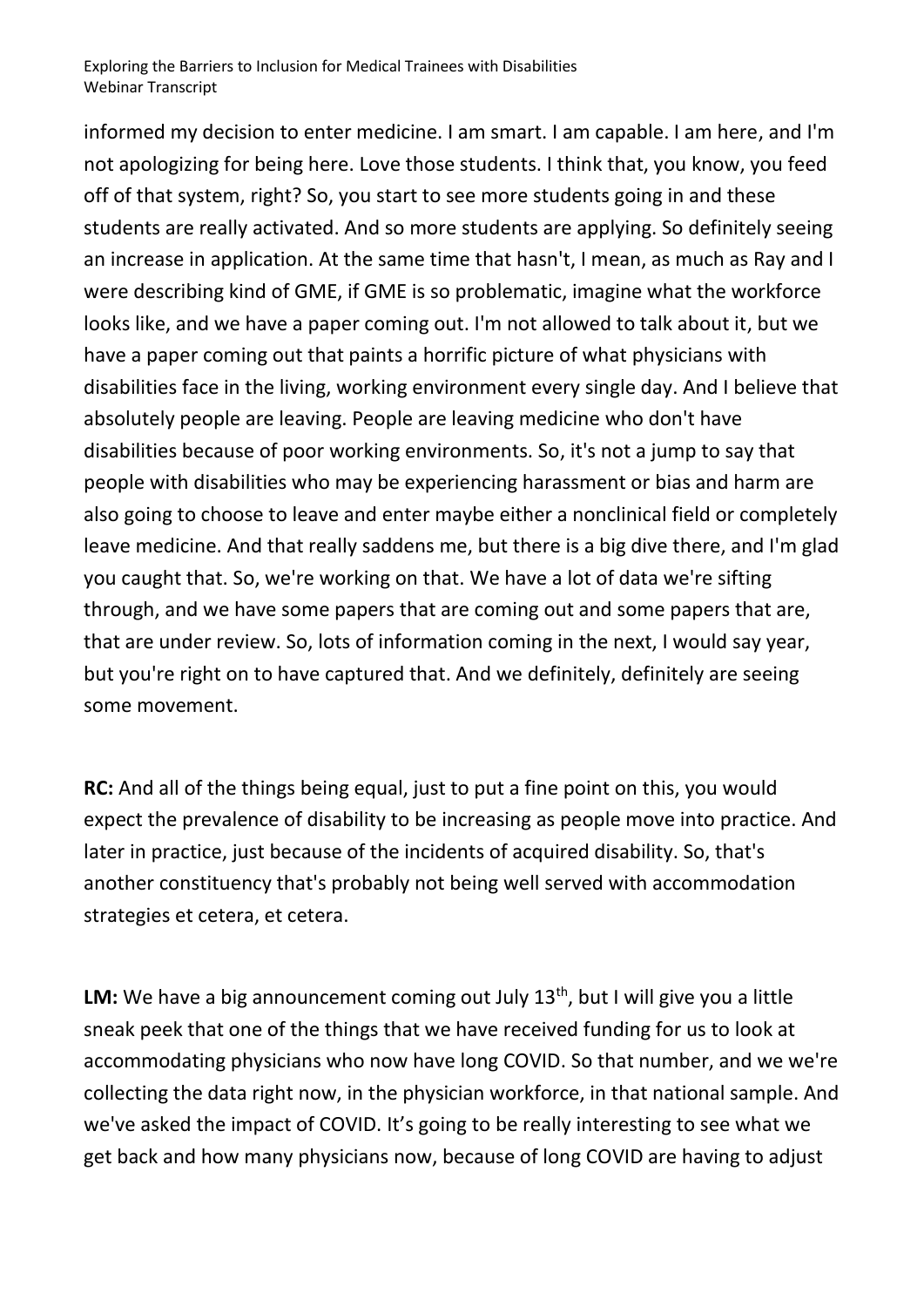informed my decision to enter medicine. I am smart. I am capable. I am here, and I'm not apologizing for being here. Love those students. I think that, you know, you feed off of that system, right? So, you start to see more students going in and these students are really activated. And so more students are applying. So definitely seeing an increase in application. At the same time that hasn't, I mean, as much as Ray and I were describing kind of GME, if GME is so problematic, imagine what the workforce looks like, and we have a paper coming out. I'm not allowed to talk about it, but we have a paper coming out that paints a horrific picture of what physicians with disabilities face in the living, working environment every single day. And I believe that absolutely people are leaving. People are leaving medicine who don't have disabilities because of poor working environments. So, it's not a jump to say that people with disabilities who may be experiencing harassment or bias and harm are also going to choose to leave and enter maybe either a nonclinical field or completely leave medicine. And that really saddens me, but there is a big dive there, and I'm glad you caught that. So, we're working on that. We have a lot of data we're sifting through, and we have some papers that are coming out and some papers that are, that are under review. So, lots of information coming in the next, I would say year, but you're right on to have captured that. And we definitely, definitely are seeing some movement.

**RC:** And all of the things being equal, just to put a fine point on this, you would expect the prevalence of disability to be increasing as people move into practice. And later in practice, just because of the incidents of acquired disability. So, that's another constituency that's probably not being well served with accommodation strategies et cetera, et cetera.

LM: We have a big announcement coming out July 13<sup>th</sup>, but I will give you a little sneak peek that one of the things that we have received funding for us to look at accommodating physicians who now have long COVID. So that number, and we we're collecting the data right now, in the physician workforce, in that national sample. And we've asked the impact of COVID. It's going to be really interesting to see what we get back and how many physicians now, because of long COVID are having to adjust